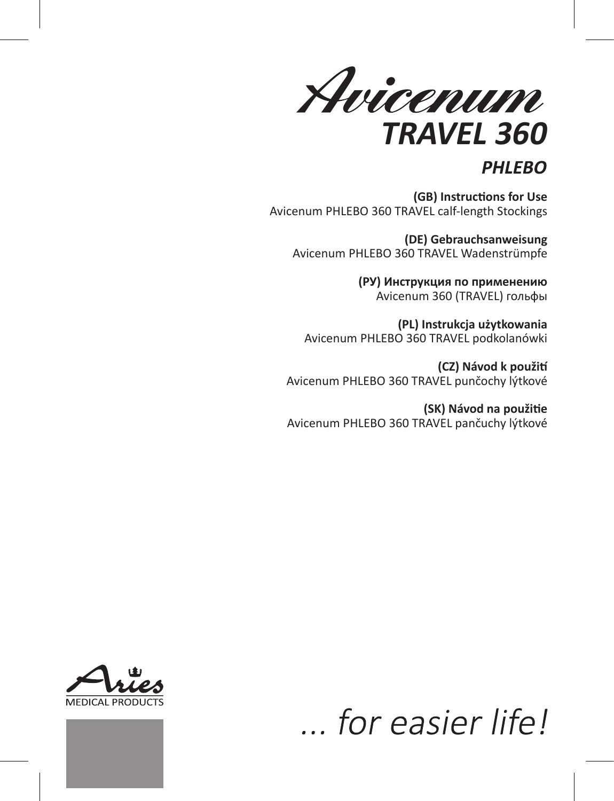Avicenum *TRAVEL 360*

# **PHLEBO**

**(GB) Instructions for Use** Avicenum PHLEBO 360 TRAVEL calf-length Stockings

**(DE) Gebrauchsanweisung** Avicenum PHLEBO 360 TRAVEL Wadenstrümpfe

> **(РУ) Инструкция по применению** Avicenum 360 (TRAVEL) гольфы

**(PL) Instrukcja użytkowania** Avicenum PHLEBO 360 TRAVEL podkolanówki

**(CZ) Návod k použití** Avicenum PHLEBO 360 TRAVEL punčochy lýtkové

**(SK) Návod na použitie** Avicenum PHLEBO 360 TRAVEL pančuchy lýtkové



... for easier life!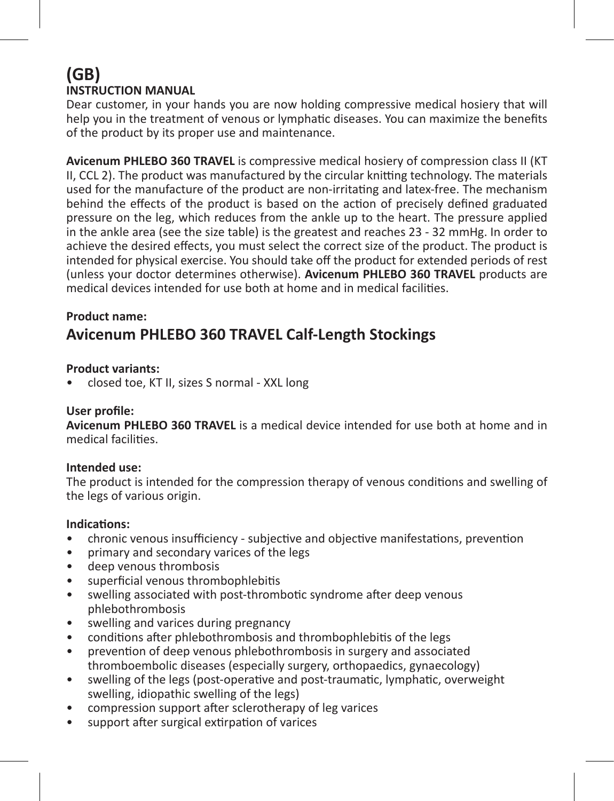# **(GB) INSTRUCTION MANUAL**

Dear customer, in your hands you are now holding compressive medical hosiery that will help you in the treatment of venous or lymphatic diseases. You can maximize the benefits of the product by its proper use and maintenance.

**Avicenum PHLEBO 360 TRAVEL** is compressive medical hosiery of compression class II (KT II, CCL 2). The product was manufactured by the circular knitting technology. The materials used for the manufacture of the product are non-irritating and latex-free. The mechanism behind the effects of the product is based on the action of precisely defined graduated pressure on the leg, which reduces from the ankle up to the heart. The pressure applied in the ankle area (see the size table) is the greatest and reaches 23 - 32 mmHg. In order to achieve the desired effects, you must select the correct size of the product. The product is intended for physical exercise. You should take off the product for extended periods of rest (unless your doctor determines otherwise). **Avicenum PHLEBO 360 TRAVEL** products are medical devices intended for use both at home and in medical facilities.

#### **Product name:**

# **Avicenum PHLEBO 360 TRAVEL Calf-Length Stockings**

#### **Product variants:**

• closed toe, KT II, sizes S normal - XXL long

#### **User profile:**

**Avicenum PHLEBO 360 TRAVEL** is a medical device intended for use both at home and in medical facilities.

#### **Intended use:**

The product is intended for the compression therapy of venous conditions and swelling of the legs of various origin.

#### **Indications:**

- chronic venous insufficiency subjective and objective manifestations, prevention
- primary and secondary varices of the legs
- deep venous thrombosis
- superficial venous thrombophlebitis
- swelling associated with post-thrombotic syndrome after deep venous phlebothrombosis
- swelling and varices during pregnancy
- conditions after phlebothrombosis and thrombophlebitis of the legs
- prevention of deep venous phlebothrombosis in surgery and associated thromboembolic diseases (especially surgery, orthopaedics, gynaecology)
- swelling of the legs (post-operative and post-traumatic, lymphatic, overweight swelling, idiopathic swelling of the legs)
- compression support after sclerotherapy of leg varices
- support after surgical extirpation of varices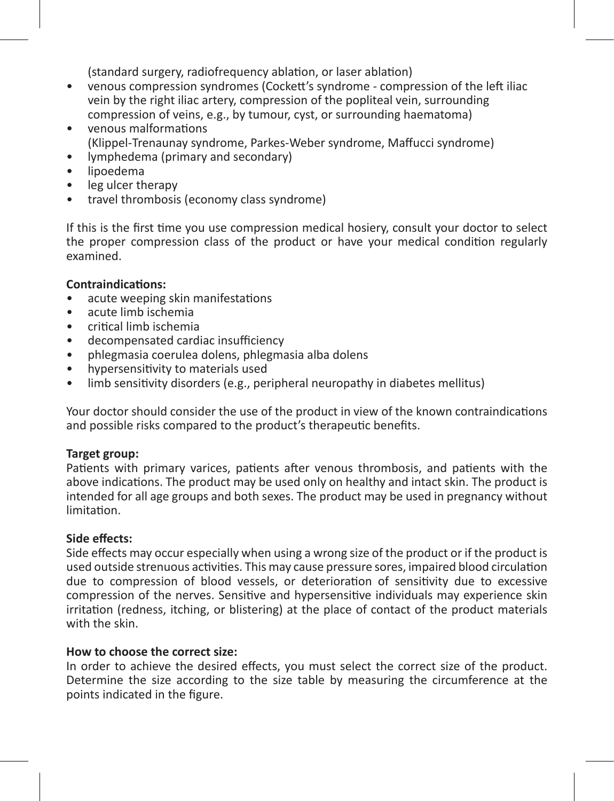(standard surgery, radiofrequency ablation, or laser ablation)

- venous compression syndromes (Cockett's syndrome compression of the left iliac vein by the right iliac artery, compression of the popliteal vein, surrounding compression of veins, e.g., by tumour, cyst, or surrounding haematoma)
- venous malformations (Klippel-Trenaunay syndrome, Parkes-Weber syndrome, Maffucci syndrome)
- lymphedema (primary and secondary)
- lipoedema
- leg ulcer therapy
- travel thrombosis (economy class syndrome)

If this is the first time you use compression medical hosiery, consult your doctor to select the proper compression class of the product or have your medical condition regularly examined.

#### **Contraindications:**

- acute weeping skin manifestations
- acute limb ischemia
- critical limb ischemia
- decompensated cardiac insufficiency
- phlegmasia coerulea dolens, phlegmasia alba dolens
- hypersensitivity to materials used
- limb sensitivity disorders (e.g., peripheral neuropathy in diabetes mellitus)

Your doctor should consider the use of the product in view of the known contraindications and possible risks compared to the product's therapeutic benefits.

#### **Target group:**

Patients with primary varices, patients after venous thrombosis, and patients with the above indications. The product may be used only on healthy and intact skin. The product is intended for all age groups and both sexes. The product may be used in pregnancy without limitation.

#### **Side effects:**

Side effects may occur especially when using a wrong size of the product or if the product is used outside strenuous activities. This may cause pressure sores, impaired blood circulation due to compression of blood vessels, or deterioration of sensitivity due to excessive compression of the nerves. Sensitive and hypersensitive individuals may experience skin irritation (redness, itching, or blistering) at the place of contact of the product materials with the skin.

### **How to choose the correct size:**

In order to achieve the desired effects, you must select the correct size of the product. Determine the size according to the size table by measuring the circumference at the points indicated in the figure.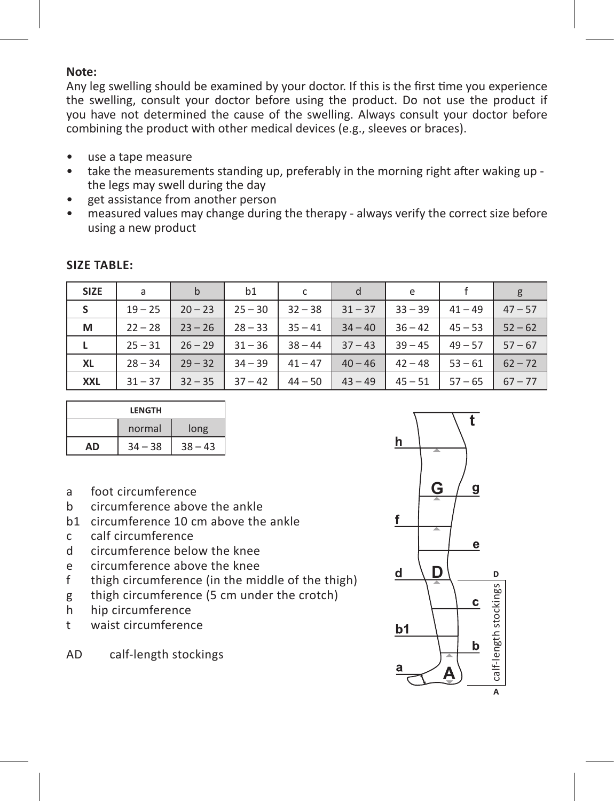#### **Note:**

Any leg swelling should be examined by your doctor. If this is the first time you experience the swelling, consult your doctor before using the product. Do not use the product if you have not determined the cause of the swelling. Always consult your doctor before combining the product with other medical devices (e.g., sleeves or braces).

- use a tape measure
- take the measurements standing up, preferably in the morning right after waking up the legs may swell during the day
- get assistance from another person
- measured values may change during the therapy always verify the correct size before using a new product

| <b>SIZE</b> | a         | b         | b1        | c         | d         | e         |           | g         |
|-------------|-----------|-----------|-----------|-----------|-----------|-----------|-----------|-----------|
| s           | $19 - 25$ | $20 - 23$ | $25 - 30$ | $32 - 38$ | $31 - 37$ | $33 - 39$ | $41 - 49$ | $47 - 57$ |
| м           | $22 - 28$ | $23 - 26$ | $28 - 33$ | $35 - 41$ | $34 - 40$ | $36 - 42$ | $45 - 53$ | $52 - 62$ |
| L           | $25 - 31$ | $26 - 29$ | $31 - 36$ | $38 - 44$ | $37 - 43$ | $39 - 45$ | $49 - 57$ | $57 - 67$ |
| XL          | $28 - 34$ | $29 - 32$ | $34 - 39$ | $41 - 47$ | $40 - 46$ | $42 - 48$ | $53 - 61$ | $62 - 72$ |
| <b>XXL</b>  | $31 - 37$ | $32 - 35$ | $37 - 42$ | $44 - 50$ | $43 - 49$ | $45 - 51$ | $57 - 65$ | $67 - 77$ |

#### **Size table:**

| LENGTH         |       |           |  |  |  |
|----------------|-------|-----------|--|--|--|
| normal<br>long |       |           |  |  |  |
| ΔŊ             | $-38$ | $38 - 43$ |  |  |  |

- a foot circumference
- b circumference above the ankle
- b1 circumference 10 cm above the ankle
- c calf circumference
- d circumference below the knee<br>e circumference above the knee
- e circumference above the knee
- f thigh circumference (in the middle of the thigh)
- g thigh circumference (5 cm under the crotch)
- h hip circumference<br>t waist circumference
- waist circumference

AD calf-length stockings

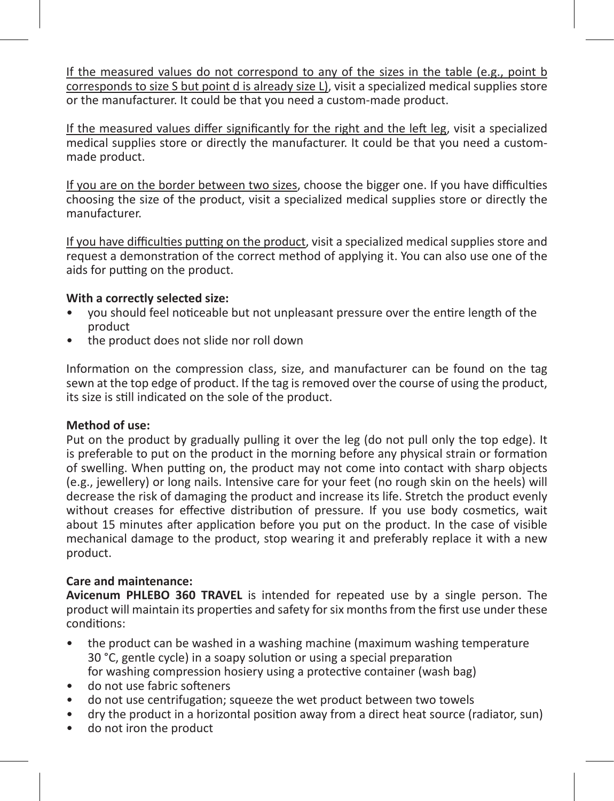If the measured values do not correspond to any of the sizes in the table (e.g., point b corresponds to size S but point d is already size L), visit a specialized medical supplies store or the manufacturer. It could be that you need a custom-made product.

If the measured values differ significantly for the right and the left leg, visit a specialized medical supplies store or directly the manufacturer. It could be that you need a custommade product.

If you are on the border between two sizes, choose the bigger one. If you have difficulties choosing the size of the product, visit a specialized medical supplies store or directly the manufacturer.

If you have difficulties putting on the product, visit a specialized medical supplies store and request a demonstration of the correct method of applying it. You can also use one of the aids for putting on the product.

#### **With a correctly selected size:**

- you should feel noticeable but not unpleasant pressure over the entire length of the product
- the product does not slide nor roll down

Information on the compression class, size, and manufacturer can be found on the tag sewn at the top edge of product. If the tag is removed over the course of using the product, its size is still indicated on the sole of the product.

#### **Method of use:**

Put on the product by gradually pulling it over the leg (do not pull only the top edge). It is preferable to put on the product in the morning before any physical strain or formation of swelling. When putting on, the product may not come into contact with sharp objects (e.g., jewellery) or long nails. Intensive care for your feet (no rough skin on the heels) will decrease the risk of damaging the product and increase its life. Stretch the product evenly without creases for effective distribution of pressure. If you use body cosmetics, wait about 15 minutes after application before you put on the product. In the case of visible mechanical damage to the product, stop wearing it and preferably replace it with a new product.

#### **Care and maintenance:**

**Avicenum PHLEBO 360 TRAVEL** is intended for repeated use by a single person. The product will maintain its properties and safety for six months from the first use under these conditions:

- the product can be washed in a washing machine (maximum washing temperature 30 °C, gentle cycle) in a soapy solution or using a special preparation for washing compression hosiery using a protective container (wash bag)
- do not use fabric softeners
- do not use centrifugation; squeeze the wet product between two towels
- dry the product in a horizontal position away from a direct heat source (radiator, sun)
- do not iron the product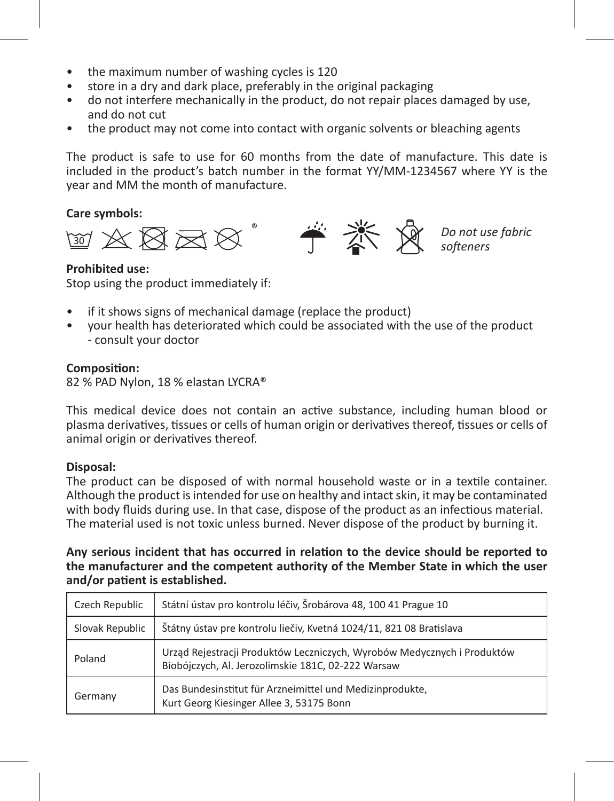- the maximum number of washing cycles is 120
- store in a dry and dark place, preferably in the original packaging
- do not interfere mechanically in the product, do not repair places damaged by use, and do not cut
- the product may not come into contact with organic solvents or bleaching agents

The product is safe to use for 60 months from the date of manufacture. This date is included in the product's batch number in the format YY/MM-1234567 where YY is the year and MM the month of manufacture.

#### **Care symbols:**



*Do not use fabric softeners*

#### **Prohibited use:**

Stop using the product immediately if:

- if it shows signs of mechanical damage (replace the product)
- your health has deteriorated which could be associated with the use of the product - consult your doctor

#### **Composition:**

82 % PAD Nylon, 18 % elastan LYCRA®

This medical device does not contain an active substance, including human blood or plasma derivatives, tissues or cells of human origin or derivatives thereof, tissues or cells of animal origin or derivatives thereof.

#### **Disposal:**

The product can be disposed of with normal household waste or in a textile container. Although the product is intended for use on healthy and intact skin, it may be contaminated with body fluids during use. In that case, dispose of the product as an infectious material. The material used is not toxic unless burned. Never dispose of the product by burning it.

**Any serious incident that has occurred in relation to the device should be reported to the manufacturer and the competent authority of the Member State in which the user and/or patient is established.**

| Czech Republic  | Státní ústav pro kontrolu léčiv, Šrobárova 48, 100 41 Prague 10                                                               |
|-----------------|-------------------------------------------------------------------------------------------------------------------------------|
| Slovak Republic | Štátny ústav pre kontrolu liečiv, Kvetná 1024/11, 821 08 Bratislava                                                           |
| Poland          | Urząd Rejestracji Produktów Leczniczych, Wyrobów Medycznych i Produktów<br>Biobójczych, Al. Jerozolimskie 181C, 02-222 Warsaw |
| Germany         | Das Bundesinstitut für Arzneimittel und Medizinprodukte,<br>Kurt Georg Kiesinger Allee 3, 53175 Bonn                          |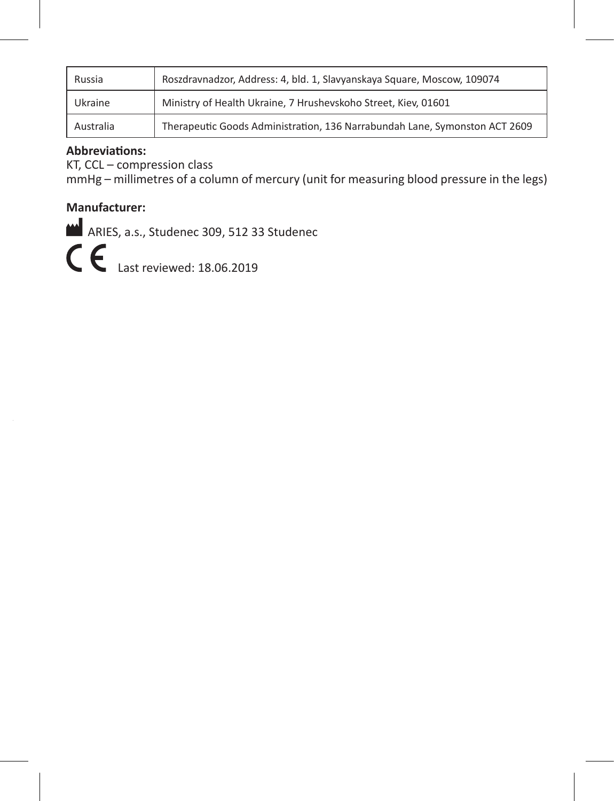| Russia    | Roszdravnadzor, Address: 4, bld. 1, Slavyanskaya Square, Moscow, 109074    |
|-----------|----------------------------------------------------------------------------|
| Ukraine   | Ministry of Health Ukraine. 7 Hrusheyskoho Street. Kiev. 01601             |
| Australia | Therapeutic Goods Administration, 136 Narrabundah Lane, Symonston ACT 2609 |

#### **Abbreviations:**

KT, CCL – compression class

mmHg – millimetres of a column of mercury (unit for measuring blood pressure in the legs)

# **Manufacturer:**

ARIES, a.s., Studenec 309, 512 33 Studenec

C \, Last reviewed: 18.06.2019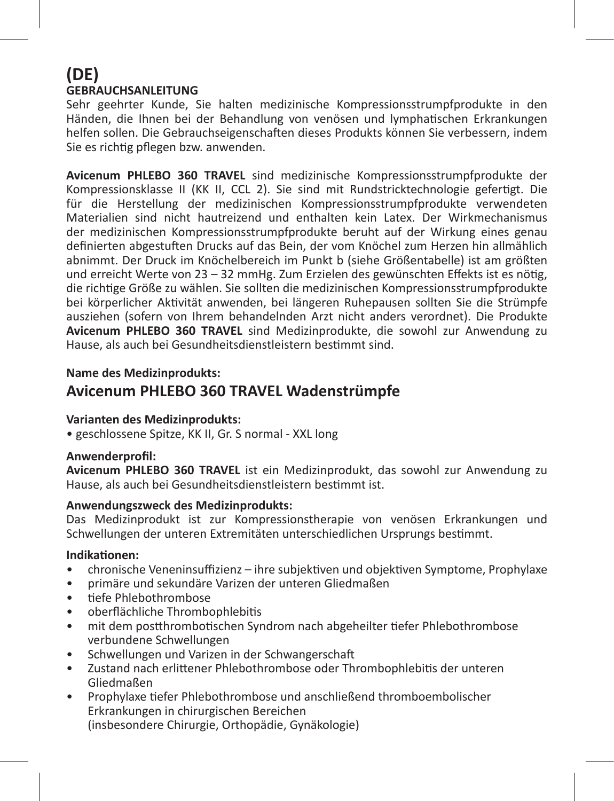# **(DE) GEBRAUCHSANLEITUNG**

Sehr geehrter Kunde, Sie halten medizinische Kompressionsstrumpfprodukte in den Händen, die Ihnen bei der Behandlung von venösen und lymphatischen Erkrankungen helfen sollen. Die Gebrauchseigenschaften dieses Produkts können Sie verbessern, indem Sie es richtig pflegen bzw. anwenden.

**Avicenum PHLEBO 360 TRAVEL** sind medizinische Kompressionsstrumpfprodukte der Kompressionsklasse II (KK II, CCL 2). Sie sind mit Rundstricktechnologie gefertigt. Die für die Herstellung der medizinischen Kompressionsstrumpfprodukte verwendeten Materialien sind nicht hautreizend und enthalten kein Latex. Der Wirkmechanismus der medizinischen Kompressionsstrumpfprodukte beruht auf der Wirkung eines genau definierten abgestuften Drucks auf das Bein, der vom Knöchel zum Herzen hin allmählich abnimmt. Der Druck im Knöchelbereich im Punkt b (siehe Größentabelle) ist am größten und erreicht Werte von 23 – 32 mmHg. Zum Erzielen des gewünschten Effekts ist es nötig. die richtige Größe zu wählen. Sie sollten die medizinischen Kompressionsstrumpfprodukte bei körperlicher Aktivität anwenden, bei längeren Ruhepausen sollten Sie die Strümpfe ausziehen (sofern von Ihrem behandelnden Arzt nicht anders verordnet). Die Produkte **Avicenum PHLEBO 360 TRAVEL** sind Medizinprodukte, die sowohl zur Anwendung zu Hause, als auch bei Gesundheitsdienstleistern bestimmt sind.

#### **Name des Medizinprodukts:**

# **Avicenum PHLEBO 360 TRAVEL Wadenstrümpfe**

#### **Varianten des Medizinprodukts:**

• geschlossene Spitze, KK II, Gr. S normal - XXL long

#### **Anwenderprofil:**

**Avicenum PHLEBO 360 TRAVEL** ist ein Medizinprodukt, das sowohl zur Anwendung zu Hause, als auch bei Gesundheitsdienstleistern bestimmt ist.

#### **Anwendungszweck des Medizinprodukts:**

Das Medizinprodukt ist zur Kompressionstherapie von venösen Erkrankungen und Schwellungen der unteren Extremitäten unterschiedlichen Ursprungs bestimmt.

#### **Indikationen:**

- chronische Veneninsuffizienz ihre subjektiven und objektiven Symptome, Prophylaxe
- primäre und sekundäre Varizen der unteren Gliedmaßen
- tiefe Phlebothrombose
- oberflächliche Thrombophlebitis
- mit dem postthrombotischen Syndrom nach abgeheilter tiefer Phlebothrombose verbundene Schwellungen
- Schwellungen und Varizen in der Schwangerschaft
- Zustand nach erlittener Phlebothrombose oder Thrombophlebitis der unteren Gliedmaßen
- Prophylaxe tiefer Phlebothrombose und anschließend thromboembolischer Erkrankungen in chirurgischen Bereichen (insbesondere Chirurgie, Orthopädie, Gynäkologie)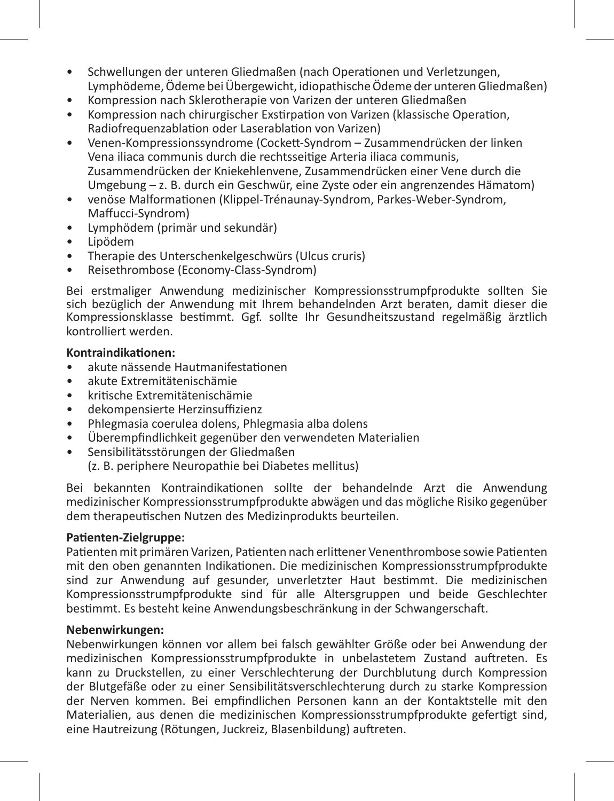- Schwellungen der unteren Gliedmaßen (nach Operationen und Verletzungen, Lymphödeme, Ödeme bei Übergewicht, idiopathische Ödeme der unteren Gliedmaßen)
- Kompression nach Sklerotherapie von Varizen der unteren Gliedmaßen
- Kompression nach chirurgischer Exstirpation von Varizen (klassische Operation, Radiofrequenzablation oder Laserablation von Varizen)
- Venen-Kompressionssyndrome (Cockett-Syndrom Zusammendrücken der linken Vena iliaca communis durch die rechtsseitige Arteria iliaca communis, Zusammendrücken der Kniekehlenvene, Zusammendrücken einer Vene durch die Umgebung – z. B. durch ein Geschwür, eine Zyste oder ein angrenzendes Hämatom)
- venöse Malformationen (Klippel-Trénaunay-Syndrom, Parkes-Weber-Syndrom, Maffucci-Syndrom)
- Lymphödem (primär und sekundär)
- Lipödem
- Therapie des Unterschenkelgeschwürs (Ulcus cruris)
- Reisethrombose (Economy-Class-Syndrom)

Bei erstmaliger Anwendung medizinischer Kompressionsstrumpfprodukte sollten Sie sich bezüglich der Anwendung mit Ihrem behandelnden Arzt beraten, damit dieser die Kompressionsklasse bestimmt. Ggf. sollte Ihr Gesundheitszustand regelmäßig ärztlich kontrolliert werden.

#### **Kontraindikationen:**

- akute nässende Hautmanifestationen
- akute Extremitätenischämie
- kritische Extremitätenischämie
- dekompensierte Herzinsuffizienz
- Phlegmasia coerulea dolens, Phlegmasia alba dolens
- Überempfindlichkeit gegenüber den verwendeten Materialien
- Sensibilitätsstörungen der Gliedmaßen

(z. B. periphere Neuropathie bei Diabetes mellitus)

Bei bekannten Kontraindikationen sollte der behandelnde Arzt die Anwendung medizinischer Kompressionsstrumpfprodukte abwägen und das mögliche Risiko gegenüber dem therapeutischen Nutzen des Medizinprodukts beurteilen.

#### **Patienten-Zielgruppe:**

Patienten mit primären Varizen, Patienten nach erlittener Venenthrombose sowie Patienten mit den oben genannten Indikationen. Die medizinischen Kompressionsstrumpfprodukte sind zur Anwendung auf gesunder, unverletzter Haut bestimmt. Die medizinischen Kompressionsstrumpfprodukte sind für alle Altersgruppen und beide Geschlechter bestimmt. Es besteht keine Anwendungsbeschränkung in der Schwangerschaft.

#### **Nebenwirkungen:**

Nebenwirkungen können vor allem bei falsch gewählter Größe oder bei Anwendung der medizinischen Kompressionsstrumpfprodukte in unbelastetem Zustand auftreten. Es kann zu Druckstellen, zu einer Verschlechterung der Durchblutung durch Kompression der Blutgefäße oder zu einer Sensibilitätsverschlechterung durch zu starke Kompression der Nerven kommen. Bei empfindlichen Personen kann an der Kontaktstelle mit den Materialien, aus denen die medizinischen Kompressionsstrumpfprodukte gefertigt sind, eine Hautreizung (Rötungen, Juckreiz, Blasenbildung) auftreten.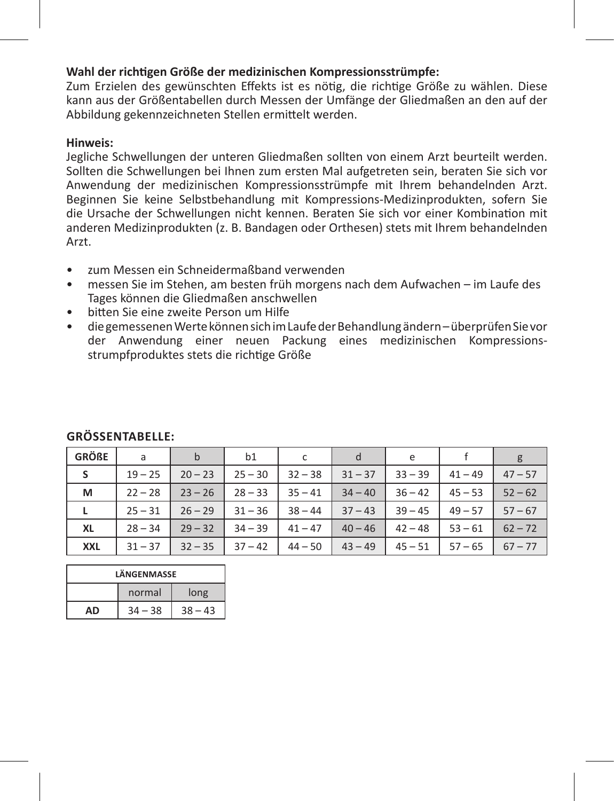#### **Wahl der richtigen Größe der medizinischen Kompressionsstrümpfe:**

Zum Erzielen des gewünschten Effekts ist es nötig, die richtige Größe zu wählen. Diese kann aus der Größentabellen durch Messen der Umfänge der Gliedmaßen an den auf der Abbildung gekennzeichneten Stellen ermittelt werden.

#### **Hinweis:**

Jegliche Schwellungen der unteren Gliedmaßen sollten von einem Arzt beurteilt werden. Sollten die Schwellungen bei Ihnen zum ersten Mal aufgetreten sein, beraten Sie sich vor Anwendung der medizinischen Kompressionsstrümpfe mit Ihrem behandelnden Arzt. Beginnen Sie keine Selbstbehandlung mit Kompressions-Medizinprodukten, sofern Sie die Ursache der Schwellungen nicht kennen. Beraten Sie sich vor einer Kombination mit anderen Medizinprodukten (z. B. Bandagen oder Orthesen) stets mit Ihrem behandelnden Arzt.

- zum Messen ein Schneidermaßband verwenden
- messen Sie im Stehen, am besten früh morgens nach dem Aufwachen im Laufe des Tages können die Gliedmaßen anschwellen
- bitten Sie eine zweite Person um Hilfe
- die gemessenen Werte können sich im Laufe der Behandlung ändern überprüfen Sie vor der Anwendung einer neuen Packung eines medizinischen Kompressionsstrumpfproduktes stets die richtige Größe

| <b>GRÖßE</b> | a         | $\mathsf{b}$ | b1        | c         | d         | e         |           | g         |
|--------------|-----------|--------------|-----------|-----------|-----------|-----------|-----------|-----------|
| s            | $19 - 25$ | $20 - 23$    | $25 - 30$ | $32 - 38$ | $31 - 37$ | $33 - 39$ | $41 - 49$ | $47 - 57$ |
| м            | $22 - 28$ | $23 - 26$    | $28 - 33$ | $35 - 41$ | $34 - 40$ | $36 - 42$ | $45 - 53$ | $52 - 62$ |
| L            | $25 - 31$ | $26 - 29$    | $31 - 36$ | $38 - 44$ | $37 - 43$ | $39 - 45$ | $49 - 57$ | $57 - 67$ |
| XL           | $28 - 34$ | $29 - 32$    | $34 - 39$ | $41 - 47$ | $40 - 46$ | $42 - 48$ | $53 - 61$ | $62 - 72$ |
| <b>XXL</b>   | $31 - 37$ | $32 - 35$    | $37 - 42$ | $44 - 50$ | $43 - 49$ | $45 - 51$ | $57 - 65$ | $67 - 77$ |

# **GröSSentabelle:**

| LÄNGENMASSE                  |  |  |  |  |
|------------------------------|--|--|--|--|
| long<br>normal               |  |  |  |  |
| $34 - 38$<br>$38 - 43$<br>AD |  |  |  |  |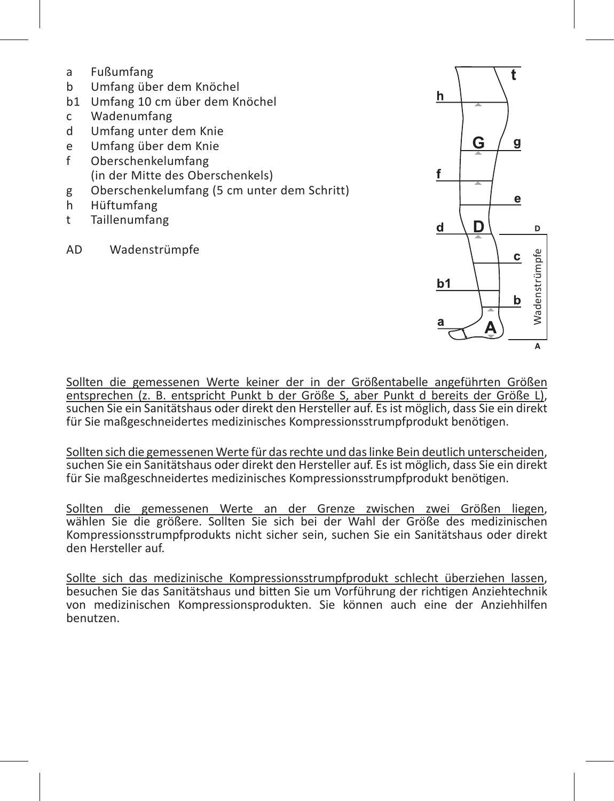- a Fußumfang<br>h Umfangühe
- b Umfang über dem Knöchel
- b1 Umfang 10 cm über dem Knöchel<br>C Wadenumfang
- Wadenumfang
- d Umfang unter dem Knie<br>e Umfang über dem Knie
- e Umfang über dem Knie
- f Oberschenkelumfang (in der Mitte des Oberschenkels)
- g Oberschenkelumfang (5 cm unter dem Schritt)<br>b Hüftumfang
- h Hüftumfang
- t Taillenumfang
- AD Wadenstrümpfe



Sollten die gemessenen Werte keiner der in der Größentabelle angeführten Größen entsprechen (z. B. entspricht Punkt b der Größe S, aber Punkt d bereits der Größe L), suchen Sie ein Sanitätshaus oder direkt den Hersteller auf. Es ist möglich, dass Sie ein direkt für Sie maßgeschneidertes medizinisches Kompressionsstrumpfprodukt benötigen.

Sollten sich die gemessenen Werte für das rechte und das linke Bein deutlich unterscheiden, suchen Sie ein Sanitätshaus oder direkt den Hersteller auf. Es ist möglich, dass Sie ein direkt für Sie maßgeschneidertes medizinisches Kompressionsstrumpfprodukt benötigen.

Sollten die gemessenen Werte an der Grenze zwischen zwei Größen liegen, wählen Sie die größere. Sollten Sie sich bei der Wahl der Größe des medizinischen Kompressionsstrumpfprodukts nicht sicher sein, suchen Sie ein Sanitätshaus oder direkt den Hersteller auf.

Sollte sich das medizinische Kompressionsstrumpfprodukt schlecht überziehen lassen, besuchen Sie das Sanitätshaus und bitten Sie um Vorführung der richtigen Anziehtechnik von medizinischen Kompressionsprodukten. Sie können auch eine der Anziehhilfen benutzen.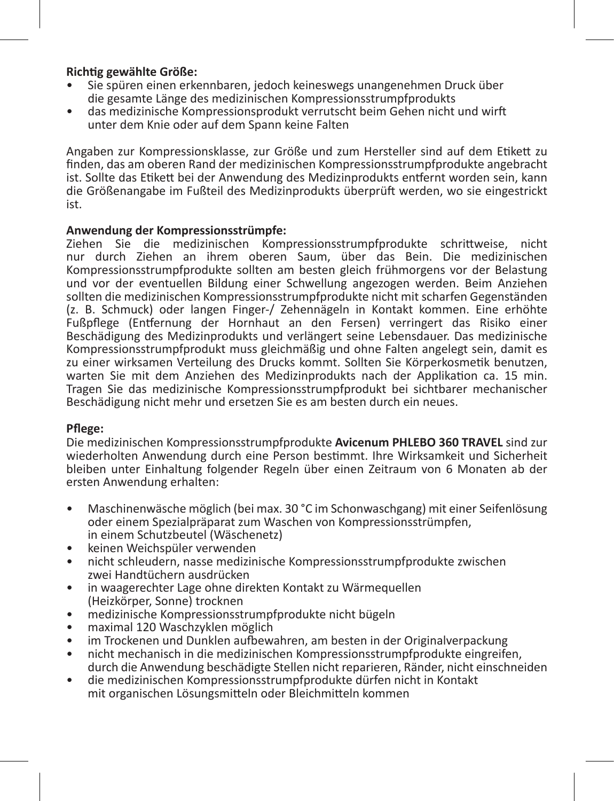#### **Richtig gewählte Größe:**

- Sie spüren einen erkennbaren, jedoch keineswegs unangenehmen Druck über die gesamte Länge des medizinischen Kompressionsstrumpfprodukts
- das medizinische Kompressionsprodukt verrutscht beim Gehen nicht und wirft unter dem Knie oder auf dem Spann keine Falten

Angaben zur Kompressionsklasse, zur Größe und zum Hersteller sind auf dem Etikett zu finden, das am oberen Rand der medizinischen Kompressionsstrumpfprodukte angebracht ist. Sollte das Etikett bei der Anwendung des Medizinprodukts entfernt worden sein, kann die Größenangabe im Fußteil des Medizinprodukts überprüft werden, wo sie eingestrickt ist.

#### **Anwendung der Kompressionsstrümpfe:**

Ziehen Sie die medizinischen Kompressionsstrumpfprodukte schrittweise, nicht nur durch Ziehen an ihrem oberen Saum, über das Bein. Die medizinischen Kompressionsstrumpfprodukte sollten am besten gleich frühmorgens vor der Belastung und vor der eventuellen Bildung einer Schwellung angezogen werden. Beim Anziehen sollten die medizinischen Kompressionsstrumpfprodukte nicht mit scharfen Gegenständen (z. B. Schmuck) oder langen Finger-/ Zehennägeln in Kontakt kommen. Eine erhöhte Fußpflege (Entfernung der Hornhaut an den Fersen) verringert das Risiko einer Beschädigung des Medizinprodukts und verlängert seine Lebensdauer. Das medizinische Kompressionsstrumpfprodukt muss gleichmäßig und ohne Falten angelegt sein, damit es zu einer wirksamen Verteilung des Drucks kommt. Sollten Sie Körperkosmetik benutzen, warten Sie mit dem Anziehen des Medizinprodukts nach der Applikation ca. 15 min. Tragen Sie das medizinische Kompressionsstrumpfprodukt bei sichtbarer mechanischer Beschädigung nicht mehr und ersetzen Sie es am besten durch ein neues.

#### **Pflege:**

Die medizinischen Kompressionsstrumpfprodukte **Avicenum PHLEBO 360 TRAVEL** sind zur wiederholten Anwendung durch eine Person bestimmt. Ihre Wirksamkeit und Sicherheit bleiben unter Einhaltung folgender Regeln über einen Zeitraum von 6 Monaten ab der ersten Anwendung erhalten:

- Maschinenwäsche möglich (bei max. 30 °C im Schonwaschgang) mit einer Seifenlösung oder einem Spezialpräparat zum Waschen von Kompressionsstrümpfen, in einem Schutzbeutel (Wäschenetz)<br>keinen Weichspüler verwenden
- 
- nicht schleudern, nasse medizinische Kompressionsstrumpfprodukte zwischen zwei Handtüchern ausdrücken
- in waagerechter Lage ohne direkten Kontakt zu Wärmequellen (Heizkörper, Sonne) trocknen
- medizinische Kompressionsstrumpfprodukte nicht bügeln
- maximal 120 Waschzyklen möglich
- im Trockenen und Dunklen aufbewahren, am besten in der Originalverpackung
- nicht mechanisch in die medizinischen Kompressionsstrumpfprodukte eingreifen, durch die Anwendung beschädigte Stellen nicht reparieren, Ränder, nicht einschneiden
- die medizinischen Kompressionsstrumpfprodukte dürfen nicht in Kontakt mit organischen Lösungsmitteln oder Bleichmitteln kommen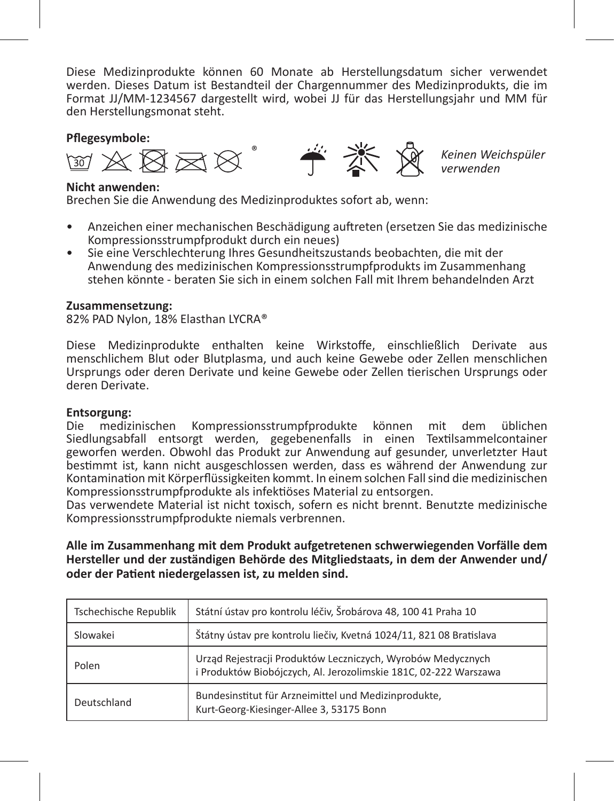Diese Medizinprodukte können 60 Monate ab Herstellungsdatum sicher verwendet werden. Dieses Datum ist Bestandteil der Chargennummer des Medizinprodukts, die im Format JJ/MM-1234567 dargestellt wird, wobei JJ für das Herstellungsjahr und MM für den Herstellungsmonat steht.



#### **Nicht anwenden:**

Brechen Sie die Anwendung des Medizinproduktes sofort ab, wenn:

- Anzeichen einer mechanischen Beschädigung auftreten (ersetzen Sie das medizinische Kompressionsstrumpfprodukt durch ein neues)
- Sie eine Verschlechterung Ihres Gesundheitszustands beobachten, die mit der Anwendung des medizinischen Kompressionsstrumpfprodukts im Zusammenhang stehen könnte - beraten Sie sich in einem solchen Fall mit Ihrem behandelnden Arzt

#### **Zusammensetzung:**

82% PAD Nylon, 18% Elasthan LYCRA®

Diese Medizinprodukte enthalten keine Wirkstoffe, einschließlich Derivate aus menschlichem Blut oder Blutplasma, und auch keine Gewebe oder Zellen menschlichen Ursprungs oder deren Derivate und keine Gewebe oder Zellen tierischen Ursprungs oder deren Derivate.

# **Entsorgung:**<br>Die medizi

medizinischen Kompressionsstrumpfprodukte können mit dem üblichen Siedlungsabfall entsorgt werden, gegebenenfalls in einen Textilsammelcontainer geworfen werden. Obwohl das Produkt zur Anwendung auf gesunder, unverletzter Haut bestimmt ist, kann nicht ausgeschlossen werden, dass es während der Anwendung zur Kontamination mit Körperflüssigkeiten kommt. In einem solchen Fall sind die medizinischen Kompressionsstrumpfprodukte als infektiöses Material zu entsorgen.

Das verwendete Material ist nicht toxisch, sofern es nicht brennt. Benutzte medizinische Kompressionsstrumpfprodukte niemals verbrennen.

**Alle im Zusammenhang mit dem Produkt aufgetretenen schwerwiegenden Vorfälle dem Hersteller und der zuständigen Behörde des Mitgliedstaats, in dem der Anwender und/ oder der Patient niedergelassen ist, zu melden sind.**

| Tschechische Republik | Státní ústav pro kontrolu léčiv, Šrobárova 48, 100 41 Praha 10                                                                  |
|-----------------------|---------------------------------------------------------------------------------------------------------------------------------|
| Slowakei              | Štátny ústav pre kontrolu liečiv, Kvetná 1024/11, 821 08 Bratislava                                                             |
| Polen                 | Urząd Rejestracji Produktów Leczniczych, Wyrobów Medycznych<br>i Produktów Biobójczych, Al. Jerozolimskie 181C, 02-222 Warszawa |
| Deutschland           | Bundesinstitut für Arzneimittel und Medizinprodukte,<br>Kurt-Georg-Kiesinger-Allee 3, 53175 Bonn                                |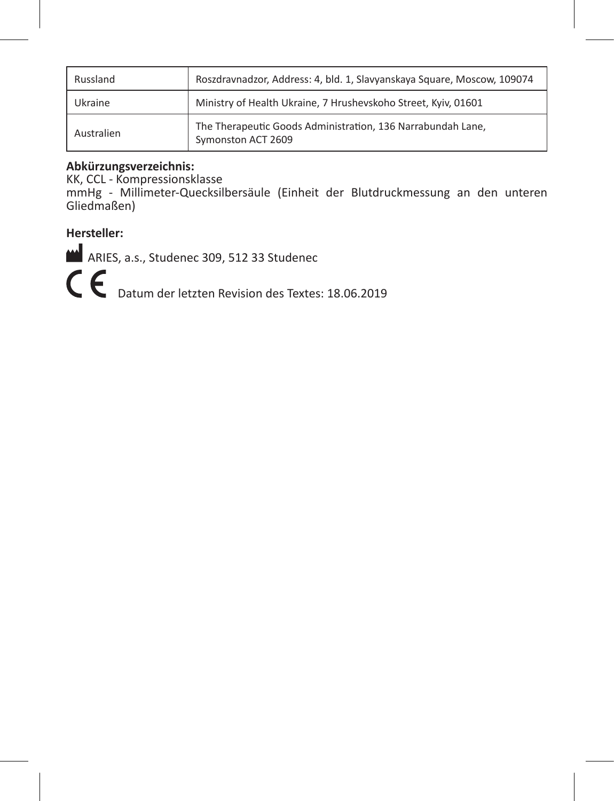| Russland   | Roszdravnadzor, Address: 4, bld. 1, Slavyanskaya Square, Moscow, 109074           |
|------------|-----------------------------------------------------------------------------------|
| Ukraine    | Ministry of Health Ukraine, 7 Hrushevskoho Street, Kyiv, 01601                    |
| Australien | The Therapeutic Goods Administration, 136 Narrabundah Lane,<br>Symonston ACT 2609 |

## **Abkürzungsverzeichnis:**

KK, CCL - Kompressionsklasse

mmHg - Millimeter-Quecksilbersäule (Einheit der Blutdruckmessung an den unteren Gliedmaßen)

# **Hersteller:**

ARIES, a.s., Studenec 309, 512 33 Studenec

C  $\epsilon$  Datum der letzten Revision des Textes: 18.06.2019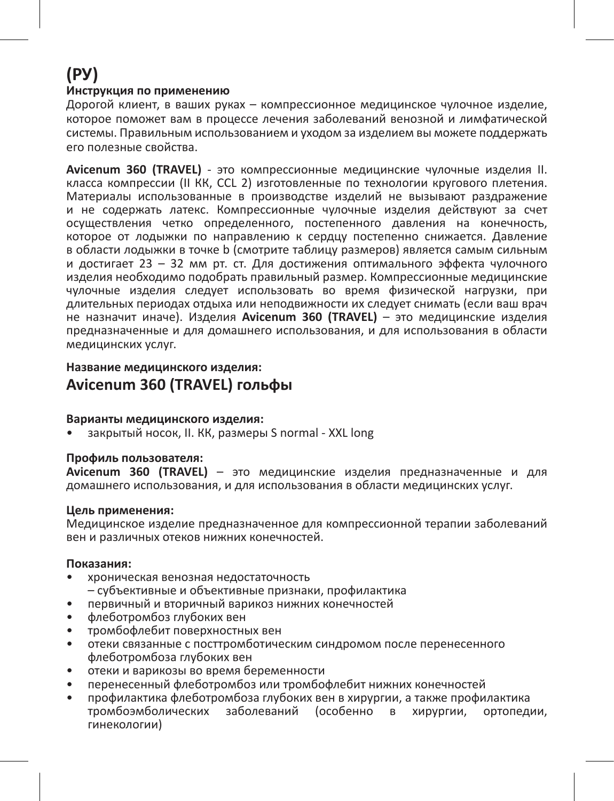# **(РУ)**

#### **Инструкция по применению**

Дорогой клиент, в ваших руках – компрессионное медицинское чулочное изделие, которое поможет вам в процессе лечения заболеваний венозной и лимфатической системы. Правильным использованием и уходом за изделием вы можете поддержать его полезные свойства.

**Avicenum 360 (TRAVEL)** - это компрессионные медицинские чулочные изделия II. класса компрессии (II КК, CCL 2) изготовленные по технологии кругового плетения. Материалы использованные в производстве изделий не вызывают раздражение и не содержать латекс. Компрессионные чулочные изделия действуют за счет осуществления четко определенного, постепенного давления на конечность, которое от лодыжки по направлению к сердцу постепенно снижается. Давление в области лодыжки в точке b (смотрите таблицу размеров) является самым сильным и достигает 23 – 32 мм рт. ст. Для достижения оптимального эффекта чулочного изделия необходимо подобрать правильный размер. Компрессионные медицинские чулочные изделия следует использовать во время физической нагрузки, при длительных периодах отдыха или неподвижности их следует снимать (если ваш врач не назначит иначе). Изделия **Avicenum 360 (TRAVEL)** – это медицинские изделия предназначенные и для домашнего использования, и для использования в области медицинских услуг.

# **Название медицинского изделия: Avicenum 360 (TRAVEL) гольфы**

#### **Варианты медицинского изделия:**

• закрытый носок, II. КК, размеры S normal - XXL long

#### **Профиль пользователя:**

**Avicenum 360 (TRAVEL)** – это медицинские изделия предназначенные и для домашнего использования, и для использования в области медицинских услуг.

#### **Цель применения:**

Медицинское изделие предназначенное для компрессионной терапии заболеваний вен и различных отеков нижних конечностей.

#### **Показания:**

- хроническая венозная недостаточность
	- субъективные и объективные признаки, профилактика
- первичный и вторичный варикоз нижних конечностей
- флеботромбоз глубоких вен
- тромбофлебит поверхностных вен
- отеки связанные с посттромботическим синдромом после перенесенного флеботромбоза глубоких вен
- отеки и варикозы во время беременности
- перенесенный флеботромбоз или тромбофлебит нижних конечностей
- профилактика флеботромбоза глубоких вен в хирургии, а также профилактика тромбоэмболических заболеваний (особенно в хирургии, ортопедии, гинекологии)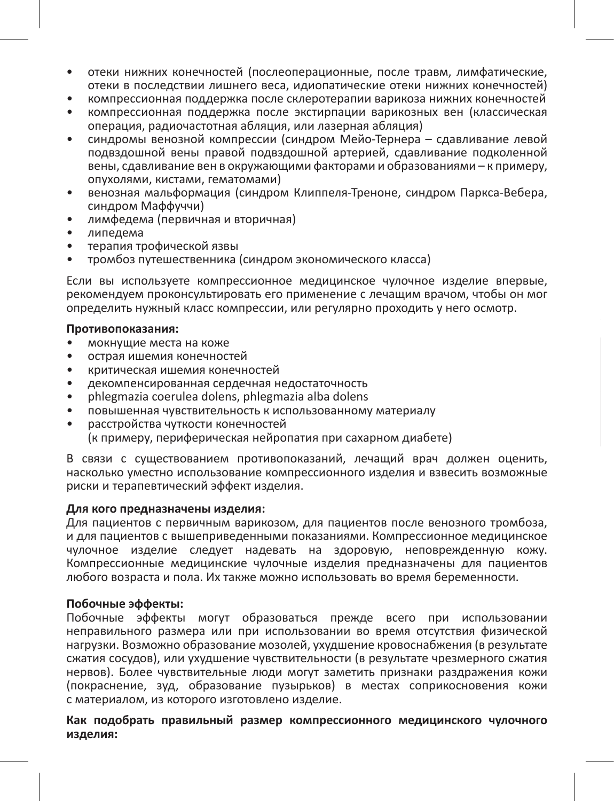- отеки нижних конечностей (послеоперационные, после травм, лимфатические, отеки в последствии лишнего веса, идиопатические отеки нижних конечностей)
- компрессионная поддержка после склеротерапии варикоза нижних конечностей
- компрессионная поддержка после экстирпации варикозных вен (классическая операция, радиочастотная абляция, или лазерная абляция)
- синдромы венозной компрессии (синдром Мейо-Тернера сдавливание левой подвздошной вены правой подвздошной артерией, сдавливание подколенной вены, сдавливание вен в окружающими факторами и образованиями – к примеру, опухолями, кистами, гематомами)
- венозная мальформация (синдром Клиппеля-Треноне, синдром Паркса-Вебера, синдром Маффуччи)
- лимфедема (первичная и вторичная)
- липедема
- терапия трофической язвы
- тромбоз путешественника (синдром экономического класса)

Если вы используете компрессионное медицинское чулочное изделие впервые, рекомендуем проконсультировать его применение с лечащим врачом, чтобы он мог определить нужный класс компрессии, или регулярно проходить у него осмотр.

#### **Противопоказания:**

- мокнущие места на коже
- острая ишемия конечностей
- критическая ишемия конечностей
- декомпенсированная сердечная недостаточность
- phlegmazia coerulea dolens, phlegmazia alba dolens
- повышенная чувствительность к использованному материалу
- расстройства чуткости конечностей (к примеру, периферическая нейропатия при сахарном диабете)

В связи с существованием противопоказаний, лечащий врач должен оценить, насколько уместно использование компрессионного изделия и взвесить возможные риски и терапевтический эффект изделия.

#### **Для кого предназначены изделия:**

Для пациентов с первичным варикозом, для пациентов после венозного тромбоза, и для пациентов с вышеприведенными показаниями. Компрессионное медицинское чулочное изделие следует надевать на здоровую, неповрежденную кожу. Компрессионные медицинские чулочные изделия предназначены для пациентов любого возраста и пола. Их также можно использовать во время беременности.

#### **Побочные эффекты:**

Побочные эффекты могут образоваться прежде всего при использовании неправильного размера или при использовании во время отсутствия физической нагрузки. Возможно образование мозолей, ухудшение кровоснабжения (в результате сжатия сосудов), или ухудшение чувствительности (в результате чрезмерного сжатия нервов). Более чувствительные люди могут заметить признаки раздражения кожи (покраснение, зуд, образование пузырьков) в местах соприкосновения кожи с материалом, из которого изготовлено изделие.

**Как подобрать правильный размер компрессионного медицинского чулочного изделия:**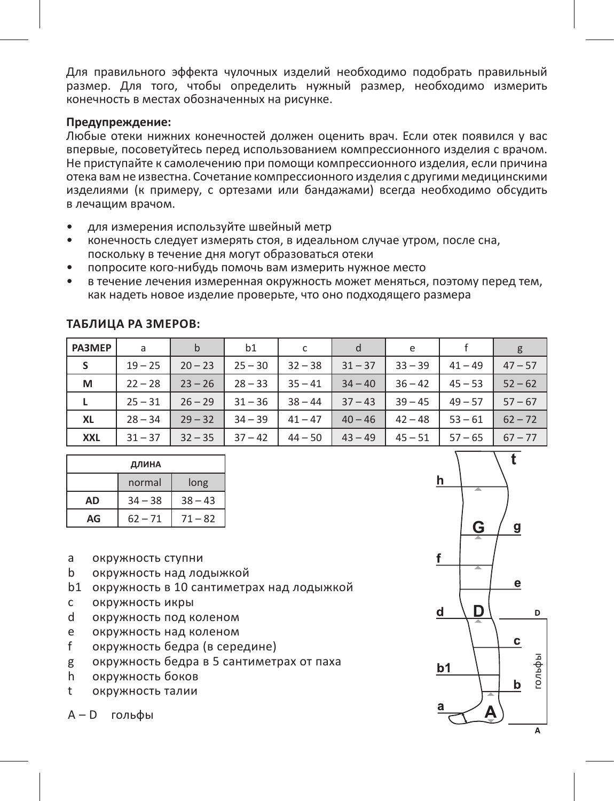Для правильного эффекта чулочных изделий необходимо подобрать правильный размер. Для того, чтобы определить нужный размер, необходимо измерить конечность в местах обозначенных на рисунке.

#### **Предупреждение:**

Любые отеки нижних конечностей должен оценить врач. Если отек появился у вас впервые, посоветуйтесь перед использованием компрессионного изделия с врачом. Не приступайте к самолечению при помощи компрессионного изделия, если причина отека вам не известна. Сочетание компрессионного изделия с другими медицинскими изделиями (к примеру, с ортезами или бандажами) всегда необходимо обсудить в лечащим врачом.

- для измерения используйте швейный метр
- конечность следует измерять стоя, в идеальном случае утром, после сна, поскольку в течение дня могут образоваться отеки
- попросите кого-нибудь помочь вам измерить нужное место
- в течение лечения измеренная окружность может меняться, поэтому перед тем, как надеть новое изделие проверьте, что оно подходящего размера

| <b>PA3MEP</b> | a         | b         | b1        | c         |           | e         |           | g         |
|---------------|-----------|-----------|-----------|-----------|-----------|-----------|-----------|-----------|
| S             | $19 - 25$ | $20 - 23$ | $25 - 30$ | $32 - 38$ | $31 - 37$ | $33 - 39$ | $41 - 49$ | $47 - 57$ |
| м             | $22 - 28$ | $23 - 26$ | $28 - 33$ | $35 - 41$ | $34 - 40$ | $36 - 42$ | $45 - 53$ | $52 - 62$ |
|               | $25 - 31$ | $26 - 29$ | $31 - 36$ | $38 - 44$ | $37 - 43$ | $39 - 45$ | $49 - 57$ | $57 - 67$ |
| XL            | $28 - 34$ | $29 - 32$ | $34 - 39$ | $41 - 47$ | $40 - 46$ | $42 - 48$ | $53 - 61$ | $62 - 72$ |
| <b>XXL</b>    | $31 - 37$ | $32 - 35$ | $37 - 42$ | $44 - 50$ | $43 - 49$ | $45 - 51$ | $57 - 65$ | $67 - 77$ |

#### **Таблица ра змеров:**

| ДЛИНА          |           |           |  |  |  |  |
|----------------|-----------|-----------|--|--|--|--|
| normal<br>long |           |           |  |  |  |  |
| AD             | $34 - 38$ | $38 - 43$ |  |  |  |  |
| AG             | $62 - 71$ | $71 - 82$ |  |  |  |  |

- a окружность ступни
- b окружность над лодыжкой
- b1 окружность в 10 сантиметрах над лодыжкой
- c окружность икры
- d окружность под коленом
- e окружность над коленом
- f окружность бедра (в середине)
- g окружность бедра в 5 сантиметрах от паха
- h окружность боков
- t окружность талии

A – D гольфы

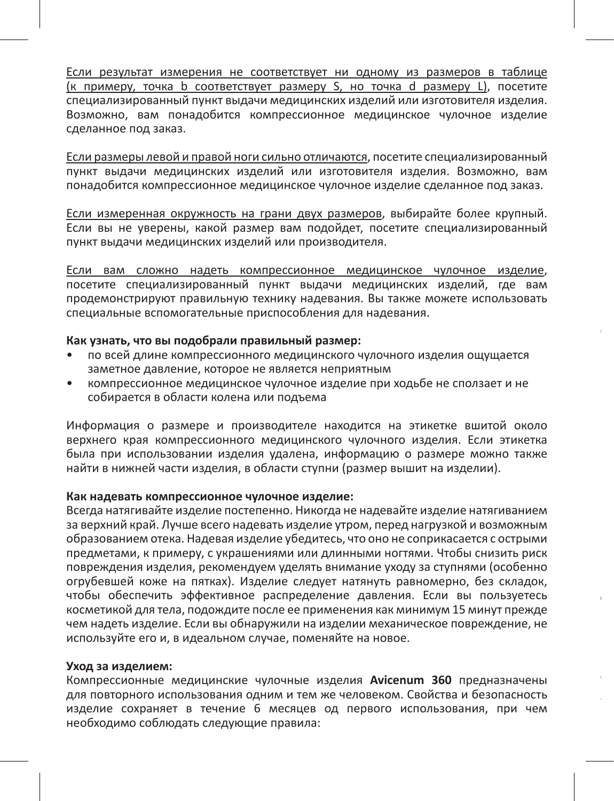Если результат измерения не соответствует ни одному из размеров в таблице (к примеру, точка b соответствует размеру S, но точка d размеру L), посетите специализированный пункт выдачи медицинских изделий или изготовителя изделия. Возможно, вам понадобится компрессионное медицинское чулочное изделие сделанное под заказ.

Если размеры левой и правой ноги сильно отличаются, посетите специализированный пункт выдачи медицинских изделий или изготовителя изделия. Возможно, вам понадобится компрессионное медицинское чулочное изделие сделанное под заказ.

Если измеренная окружность на грани двух размеров, выбирайте более крупный. Если вы не уверены, какой размер вам подойдет, посетите специализированный пункт выдачи медицинских изделий или производителя.

Если вам сложно надеть компрессионное медицинское чулочное изделие, посетите специализированный пункт выдачи медицинских изделий, где вам продемонстрируют правильную технику надевания. Вы также можете использовать специальные вспомогательные приспособления для надевания.

Данные медицинские изделия можно безопасно использовать в течение 60 месяцев

Данные медицинские изделия не содержат в себе лечебные препараты, дериваты

для текстиля. Несмотря на то, что изделие предназначено для использования на

#### **Как узнать, что вы подобрали правильный размер:**

- по всей длине компрессионного медицинского чулочного изделия ощущается заметное давление, которое не является неприятным
- компрессионное медицинское чулочное изделие при ходьбе не сползает и не собирается в области колена или подъема

Информация о размере и производителе находится на этикетке вшитой около верхнего края компрессионного медицинского чулочного изделия. Если этикетка была при использовании изделия удалена, информацию о размере можно также найти в нижней части изделия, в области ступни (размер вышит на изделии).

#### **Как надевать компрессионное чулочное изделие:**

Всегда натягивайте изделие постепенно. Никогда не надевайте изделие натягиванием за верхний край. Лучше всего надевать изделие утром, перед нагрузкой и возможным образованием отека. Надевая изделие убедитесь, что оно не соприкасается с острыми предметами, к примеру, с украшениями или длинными ногтями. Чтобы снизить риск повреждения изделия, рекомендуем уделять внимание уходу за ступнями (особенно огрубевшей коже на пятках). Изделие следует натянуть равномерно, без складок, чтобы обеспечить эффективное распределение давления. Если вы пользуетесь косметикой для тела, подождите после ее применения как минимум 15 минут прежде чем надеть изделие. Если вы обнаружили на изделии механическое повреждение, не используйте его и, в идеальном случае, поменяйте на новое.

#### **Уход за изделием:**

Компрессионные медицинские чулочные изделия **Avicenum 360** предназначены для повторного использования одним и тем же человеком. Свойства и безопасность изделие сохраняет в течение 6 месяцев од первого использования, при чем необходимо соблюдать следующие правила: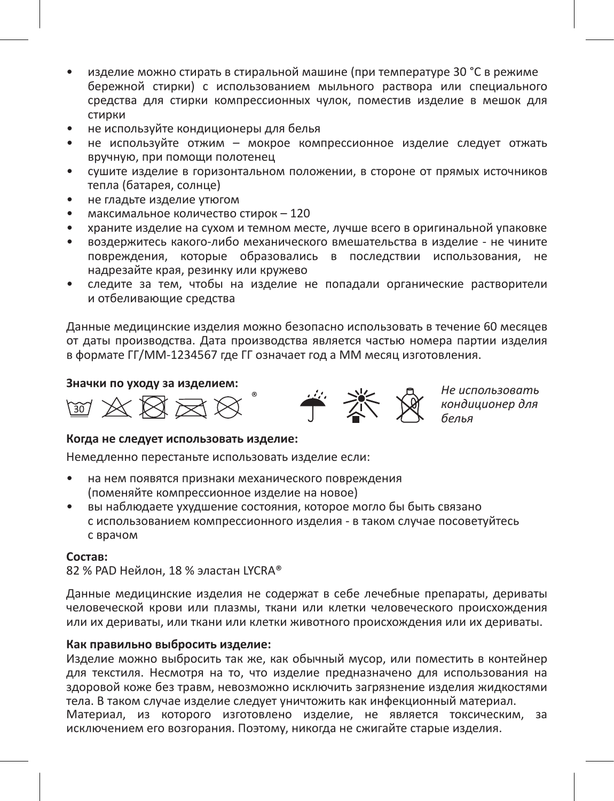- изделие можно стирать в стиральной машине (при температуре 30 °C в режиме бережной стирки) с использованием мыльного раствора или специального средства для стирки компрессионных чулок, поместив изделие в мешок для стирки
- не используйте кондиционеры для белья
- не используйте отжим мокрое компрессионное изделие следует отжать вручную, при помощи полотенец
- сушите изделие в горизонтальном положении, в стороне от прямых источников тепла (батарея, солнце)
- не гладьте изделие утюгом
- максимальное количество стирок 120
- храните изделие на сухом и темном месте, лучше всего в оригинальной упаковке
- воздержитесь какого-либо механического вмешательства в изделие не чините повреждения, которые образовались в последствии использования, не надрезайте края, резинку или кружево
- следите за тем, чтобы на изделие не попадали органические растворители и отбеливающие средства

Данные медицинские изделия можно безопасно использовать в течение 60 месяцев от даты производства. Дата производства является частью номера партии изделия в формате ГГ/ММ-1234567 где ГГ означает год а ММ месяц изготовления.



*кондиционер для белья*

#### **Когда не следует использовать изделие:**

Немедленно перестаньте использовать изделие если:

- на нем появятся признаки механического повреждения (поменяйте компрессионное изделие на новое)
- вы наблюдаете ухудшение состояния, которое могло бы быть связано с использованием компрессионного изделия - в таком случае посоветуйтесь с врачом

#### **Состав:**

82 % PAD Нейлон, 18 % эластан LYCRA®

Данные медицинские изделия не содержат в себе лечебные препараты, дериваты человеческой крови или плазмы, ткани или клетки человеческого происхождения или их дериваты, или ткани или клетки животного происхождения или их дериваты.

#### **Как правильно выбросить изделие:**

Изделие можно выбросить так же, как обычный мусор, или поместить в контейнер для текстиля. Несмотря на то, что изделие предназначено для использования на здоровой коже без травм, невозможно исключить загрязнение изделия жидкостями тела. В таком случае изделие следует уничтожить как инфекционный материал. Материал, из которого изготовлено изделие, не является токсическим, за исключением его возгорания. Поэтому, никогда не сжигайте старые изделия.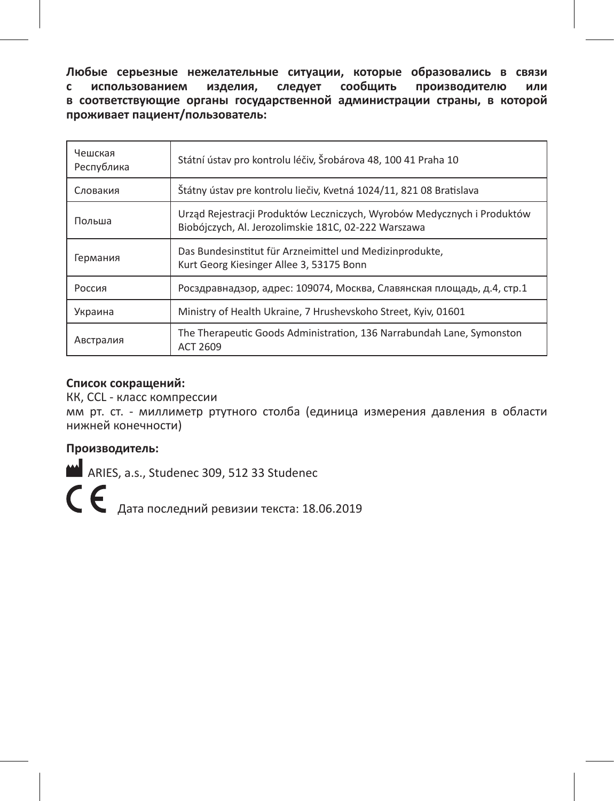**Любые серьезные нежелательные ситуации, которые образовались в связи с использованием изделия, следует сообщить производителю или в соответствующие органы государственной администрации страны, в которой проживает пациент/пользователь:**

| Чешская<br>Республика | Státní ústav pro kontrolu léčiv, Šrobárova 48, 100 41 Praha 10                                                                  |
|-----------------------|---------------------------------------------------------------------------------------------------------------------------------|
| Словакия              | Štátny ústav pre kontrolu liečiv, Kvetná 1024/11, 821 08 Bratislava                                                             |
| Польша                | Urząd Rejestracji Produktów Leczniczych, Wyrobów Medycznych i Produktów<br>Biobójczych, Al. Jerozolimskie 181C, 02-222 Warszawa |
| Германия              | Das Bundesinstitut für Arzneimittel und Medizinprodukte,<br>Kurt Georg Kiesinger Allee 3, 53175 Bonn                            |
| Россия                | Росздравнадзор, адрес: 109074, Москва, Славянская площадь, д.4, стр.1                                                           |
| Украина               | Ministry of Health Ukraine, 7 Hrushevskoho Street, Kyiv, 01601                                                                  |
| Австралия             | The Therapeutic Goods Administration, 136 Narrabundah Lane, Symonston<br>ACT 2609                                               |

#### **Список сокращений:**

КК, CCL - класс компрессии

мм рт. ст. - миллиметр ртутного столба (единица измерения давления в области нижней конечности)

# **Производитель:**

ARIES, a.s., Studenec 309, 512 33 Studenec

 $\boldsymbol{\zeta} \boldsymbol{\epsilon}$  Дата последний ревизии текста: 18.06.2019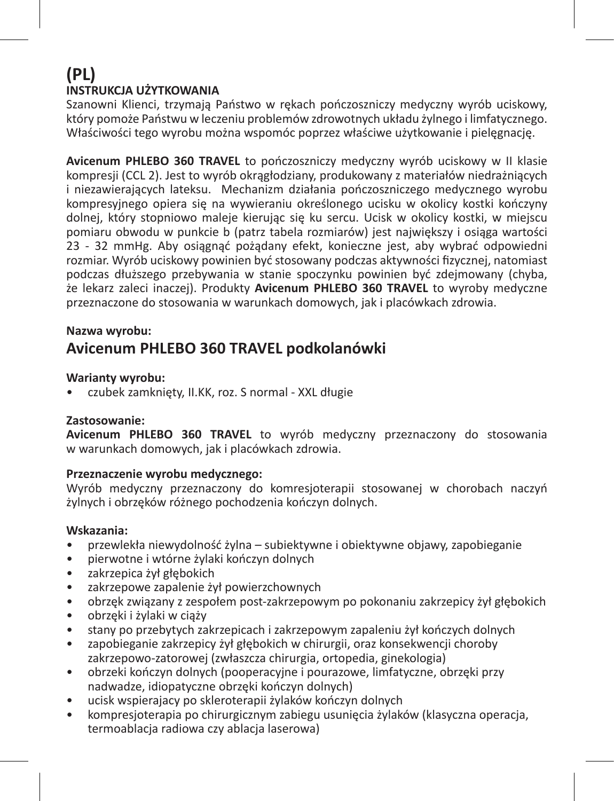# **(PL) INSTRUKCJA UŻYTKOWANIA**

Szanowni Klienci, trzymają Państwo w rękach pończoszniczy medyczny wyrób uciskowy, który pomoże Państwu w leczeniu problemów zdrowotnych układu żylnego i limfatycznego. Właściwości tego wyrobu można wspomóc poprzez właściwe użytkowanie i pielęgnację.

**Avicenum PHLEBO 360 TRAVEL** to pończoszniczy medyczny wyrób uciskowy w II klasie kompresji (CCL 2). Jest to wyrób okrągłodziany, produkowany z materiałów niedrażniących i niezawierających lateksu. Mechanizm działania pończoszniczego medycznego wyrobu kompresyjnego opiera się na wywieraniu określonego ucisku w okolicy kostki kończyny dolnej, który stopniowo maleje kierując się ku sercu. Ucisk w okolicy kostki, w miejscu pomiaru obwodu w punkcie b (patrz tabela rozmiarów) jest największy i osiąga wartości 23 - 32 mmHg. Aby osiągnąć pożądany efekt, konieczne jest, aby wybrać odpowiedni rozmiar. Wyrób uciskowy powinien być stosowany podczas aktywności fizycznej, natomiast podczas dłuższego przebywania w stanie spoczynku powinien być zdejmowany (chyba, że lekarz zaleci inaczej). Produkty **Avicenum PHLEBO 360 TRAVEL** to wyroby medyczne przeznaczone do stosowania w warunkach domowych, jak i placówkach zdrowia.

#### **Nazwa wyrobu:**

# **Avicenum PHLEBO 360 TRAVEL podkolanówki**

#### **Warianty wyrobu:**

• czubek zamknięty, II.KK, roz. S normal - XXL długie

#### **Zastosowanie:**

**Avicenum PHLEBO 360 TRAVEL** to wyrób medyczny przeznaczony do stosowania w warunkach domowych, jak i placówkach zdrowia.

#### **Przeznaczenie wyrobu medycznego:**

Wyrób medyczny przeznaczony do komresjoterapii stosowanej w chorobach naczyń żylnych i obrzęków różnego pochodzenia kończyn dolnych.

#### **Wskazania:**

- przewlekła niewydolność żylna subiektywne i obiektywne objawy, zapobieganie
- pierwotne i wtórne żylaki kończyn dolnych
- zakrzepica żył głębokich
- zakrzepowe zapalenie żył powierzchownych
- obrzęk związany z zespołem post-zakrzepowym po pokonaniu zakrzepicy żył głębokich
- obrzęki i żylaki w ciąży
- stany po przebytych zakrzepicach i zakrzepowym zapaleniu żył kończych dolnych
- zapobieganie zakrzepicy żył głębokich w chirurgii, oraz konsekwencji choroby zakrzepowo-zatorowej (zwłaszcza chirurgia, ortopedia, ginekologia)
- obrzeki kończyn dolnych (pooperacyjne i pourazowe, limfatyczne, obrzęki przy nadwadze, idiopatyczne obrzęki kończyn dolnych)
- ucisk wspierajacy po skleroterapii żylaków kończyn dolnych
- kompresjoterapia po chirurgicznym zabiegu usunięcia żylaków (klasyczna operacja, termoablacja radiowa czy ablacja laserowa)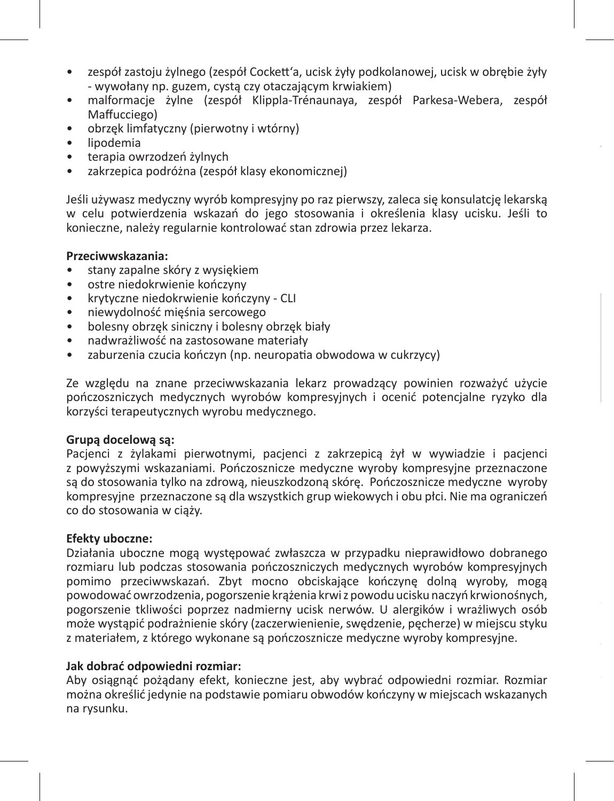- zespół zastoju żylnego (zespół Cockett'a, ucisk żyły podkolanowej, ucisk w obrębie żyły - wywołany np. guzem, cystą czy otaczającym krwiakiem)
- malformacje żylne (zespół Klippla-Trénaunaya, zespół Parkesa-Webera, zespół Maffucciego)
- obrzęk limfatyczny (pierwotny i wtórny)
- lipodemia
- terapia owrzodzeń żylnych
- zakrzepica podróżna (zespół klasy ekonomicznej)

Jeśli używasz medyczny wyrób kompresyjny po raz pierwszy, zaleca się konsulatcję lekarską w celu potwierdzenia wskazań do jego stosowania i określenia klasy ucisku. Jeśli to konieczne, należy regularnie kontrolować stan zdrowia przez lekarza.

#### **Przeciwwskazania:**

- stany zapalne skóry z wysiękiem
- ostre niedokrwienie kończyny
- krytyczne niedokrwienie kończyny CLI
- niewydolność mięśnia sercowego
- bolesny obrzęk siniczny i bolesny obrzęk biały
- nadwrażliwość na zastosowane materiały
- zaburzenia czucia kończyn (np. neuropatia obwodowa w cukrzycy)

Ze względu na znane przeciwwskazania lekarz prowadzący powinien rozważyć użycie pończoszniczych medycznych wyrobów kompresyjnych i ocenić potencjalne ryzyko dla korzyści terapeutycznych wyrobu medycznego.

#### **Grupą docelową są:**

Pacjenci z żylakami pierwotnymi, pacjenci z zakrzepicą żył w wywiadzie i pacjenci z powyższymi wskazaniami. Pończosznicze medyczne wyroby kompresyjne przeznaczone są do stosowania tylko na zdrową, nieuszkodzoną skórę. Pończosznicze medyczne wyroby kompresyjne przeznaczone są dla wszystkich grup wiekowych i obu płci. Nie ma ograniczeń co do stosowania w ciąży.

#### **Efekty uboczne:**

Działania uboczne mogą występować zwłaszcza w przypadku nieprawidłowo dobranego rozmiaru lub podczas stosowania pończoszniczych medycznych wyrobów kompresyjnych pomimo przeciwwskazań. Zbyt mocno obciskające kończynę dolną wyroby, mogą powodować owrzodzenia, pogorszenie krążenia krwi z powodu ucisku naczyń krwionośnych, pogorszenie tkliwości poprzez nadmierny ucisk nerwów. U alergików i wrażliwych osób może wystąpić podrażnienie skóry (zaczerwienienie, swędzenie, pęcherze) w miejscu styku z materiałem, z którego wykonane są pończosznicze medyczne wyroby kompresyjne.

#### **Jak dobrać odpowiedni rozmiar:**

Aby osiągnąć pożądany efekt, konieczne jest, aby wybrać odpowiedni rozmiar. Rozmiar można określić jedynie na podstawie pomiaru obwodów kończyny w miejscach wskazanych na rysunku.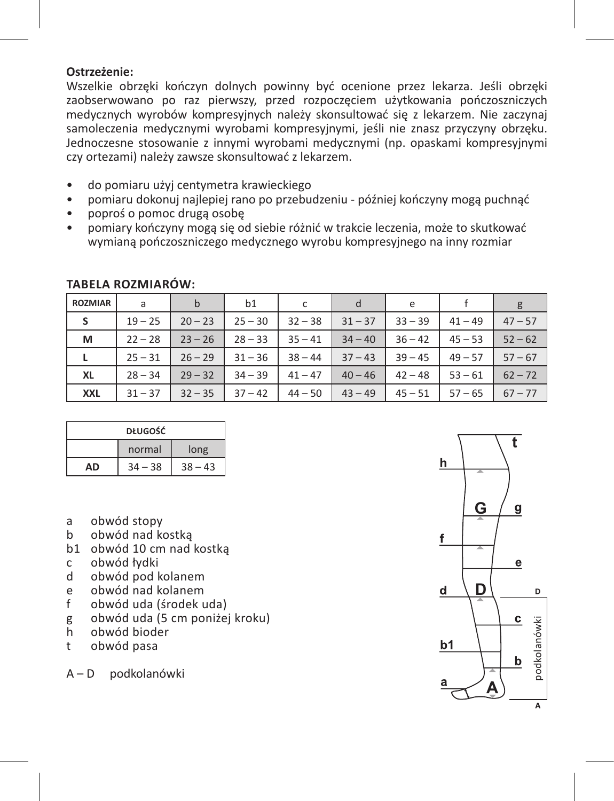#### **Ostrzeżenie:**

Wszelkie obrzęki kończyn dolnych powinny być ocenione przez lekarza. Jeśli obrzęki zaobserwowano po raz pierwszy, przed rozpoczęciem użytkowania pończoszniczych medycznych wyrobów kompresyjnych należy skonsultować się z lekarzem. Nie zaczynaj samoleczenia medycznymi wyrobami kompresyjnymi, jeśli nie znasz przyczyny obrzęku. Jednoczesne stosowanie z innymi wyrobami medycznymi (np. opaskami kompresyjnymi czy ortezami) należy zawsze skonsultować z lekarzem.

- do pomiaru użyj centymetra krawieckiego
- pomiaru dokonuj najlepiej rano po przebudzeniu później kończyny mogą puchnąć
- poproś o pomoc drugą osobę
- pomiary kończyny mogą się od siebie różnić w trakcie leczenia, może to skutkować wymianą pończoszniczego medycznego wyrobu kompresyjnego na inny rozmiar

| <b>ROZMIAR</b> | a         | h         | b1        |           | d         | e         |           |           |
|----------------|-----------|-----------|-----------|-----------|-----------|-----------|-----------|-----------|
| -S             | $19 - 25$ | $20 - 23$ | $25 - 30$ | $32 - 38$ | $31 - 37$ | $33 - 39$ | $41 - 49$ | $47 - 57$ |
| м              | $22 - 28$ | $23 - 26$ | $28 - 33$ | $35 - 41$ | $34 - 40$ | $36 - 42$ | $45 - 53$ | $52 - 62$ |
| L              | $25 - 31$ | $26 - 29$ | $31 - 36$ | $38 - 44$ | $37 - 43$ | $39 - 45$ | $49 - 57$ | $57 - 67$ |
| XL             | $28 - 34$ | $29 - 32$ | $34 - 39$ | $41 - 47$ | $40 - 46$ | $42 - 48$ | $53 - 61$ | $62 - 72$ |
| <b>XXL</b>     | $31 - 37$ | $32 - 35$ | $37 - 42$ | $44 - 50$ | $43 - 49$ | $45 - 51$ | $57 - 65$ | $67 - 77$ |

### **Tabela rozmiarów:**

| <b>DŁUGOŚĆ</b> |           |           |  |
|----------------|-----------|-----------|--|
|                | normal    | long      |  |
| ΔŊ             | $34 - 38$ | $38 - 43$ |  |

- a obwód stopy<br>b obwód nad ko
- b obwód nad kostką
- b1 obwód 10 cm nad kostką
- c obwód łydki
- d obwód pod kolanem
- e obwód nad kolanem<br>f obwód uda (środek u
- f obwód uda (środek uda)
- g obwód uda (5 cm poniżej kroku)
- h obwód bioder
- t obwód pasa

A – D podkolanówki

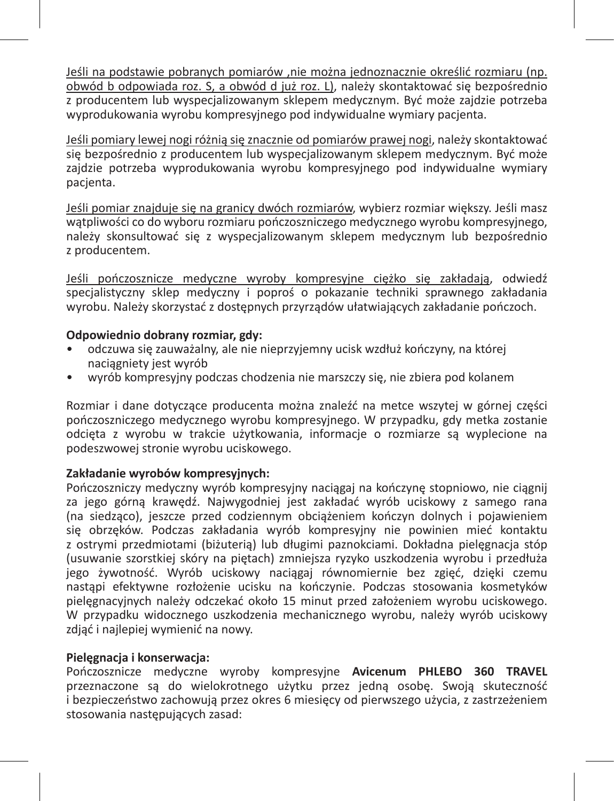Jeśli na podstawie pobranych pomiarów ,nie można jednoznacznie określić rozmiaru (np. obwód b odpowiada roz. S, a obwód d już roz. L), należy skontaktować się bezpośrednio z producentem lub wyspecjalizowanym sklepem medycznym. Być może zajdzie potrzeba wyprodukowania wyrobu kompresyjnego pod indywidualne wymiary pacjenta.

Jeśli pomiary lewej nogi różnią się znacznie od pomiarów prawej nogi, należy skontaktować się bezpośrednio z producentem lub wyspecjalizowanym sklepem medycznym. Być może zajdzie potrzeba wyprodukowania wyrobu kompresyjnego pod indywidualne wymiary pacjenta.

Jeśli pomiar znajduje się na granicy dwóch rozmiarów, wybierz rozmiar większy. Jeśli masz wątpliwości co do wyboru rozmiaru pończoszniczego medycznego wyrobu kompresyjnego, należy skonsultować się z wyspecjalizowanym sklepem medycznym lub bezpośrednio z producentem.

Jeśli pończosznicze medyczne wyroby kompresyjne ciężko się zakładają, odwiedź specjalistyczny sklep medyczny i poproś o pokazanie techniki sprawnego zakładania wyrobu. Należy skorzystać z dostępnych przyrządów ułatwiających zakładanie pończoch.

#### **Odpowiednio dobrany rozmiar, gdy:**

- odczuwa się zauważalny, ale nie nieprzyjemny ucisk wzdłuż kończyny, na której naciągniety jest wyrób
- wyrób kompresyjny podczas chodzenia nie marszczy się, nie zbiera pod kolanem

Rozmiar i dane dotyczące producenta można znaleźć na metce wszytej w górnej części pończoszniczego medycznego wyrobu kompresyjnego. W przypadku, gdy metka zostanie odcięta z wyrobu w trakcie użytkowania, informacje o rozmiarze są wyplecione na podeszwowej stronie wyrobu uciskowego.

#### **Zakładanie wyrobów kompresyjnych:**

Pończoszniczy medyczny wyrób kompresyjny naciągaj na kończynę stopniowo, nie ciągnij za jego górną krawędź. Najwygodniej jest zakładać wyrób uciskowy z samego rana (na siedząco), jeszcze przed codziennym obciążeniem kończyn dolnych i pojawieniem się obrzęków. Podczas zakładania wyrób kompresyjny nie powinien mieć kontaktu z ostrymi przedmiotami (biżuterią) lub długimi paznokciami. Dokładna pielęgnacja stóp (usuwanie szorstkiej skóry na piętach) zmniejsza ryzyko uszkodzenia wyrobu i przedłuża jego żywotność. Wyrób uciskowy naciągaj równomiernie bez zgięć, dzięki czemu nastąpi efektywne rozłożenie ucisku na kończynie. Podczas stosowania kosmetyków pielęgnacyjnych należy odczekać około 15 minut przed założeniem wyrobu uciskowego. W przypadku widocznego uszkodzenia mechanicznego wyrobu, należy wyrób uciskowy zdjąć i najlepiej wymienić na nowy.

#### **Pielęgnacja i konserwacja:**

Pończosznicze medyczne wyroby kompresyjne **Avicenum PHLEBO 360 TRAVEL** przeznaczone są do wielokrotnego użytku przez jedną osobę. Swoją skuteczność i bezpieczeństwo zachowują przez okres 6 miesięcy od pierwszego użycia, z zastrzeżeniem stosowania następujących zasad: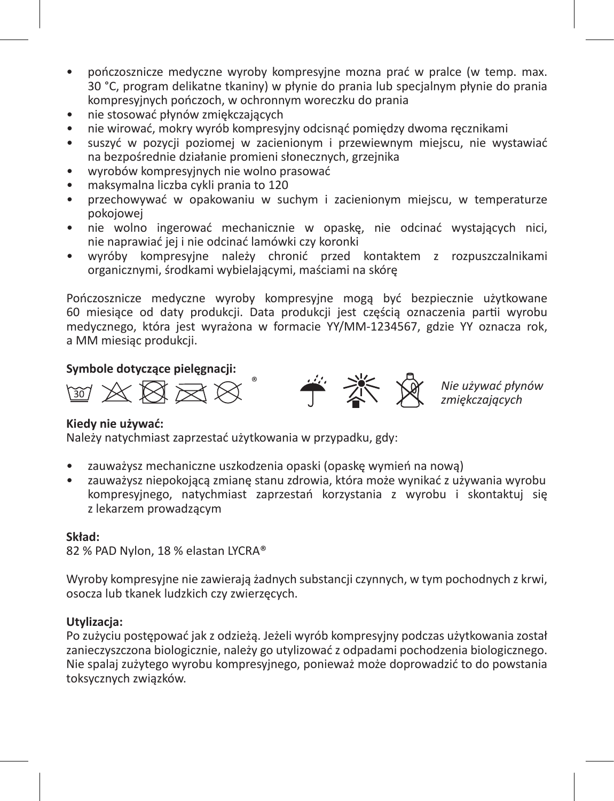- pończosznicze medyczne wyroby kompresyjne mozna prać w pralce (w temp. max. 30 °C, program delikatne tkaniny) w płynie do prania lub specjalnym płynie do prania kompresyjnych pończoch, w ochronnym woreczku do prania
- nie stosować płynów zmiękczających
- nie wirować, mokry wyrób kompresyjny odcisnąć pomiędzy dwoma ręcznikami
- suszyć w pozycji poziomej w zacienionym i przewiewnym miejscu, nie wystawiać na bezpośrednie działanie promieni słonecznych, grzejnika
- wyrobów kompresyjnych nie wolno prasować
- maksymalna liczba cykli prania to 120
- przechowywać w opakowaniu w suchym i zacienionym miejscu, w temperaturze pokojowej
- nie wolno ingerować mechanicznie w opaskę, nie odcinać wystających nici, nie naprawiać jej i nie odcinać lamówki czy koronki
- wyróby kompresyjne należy chronić przed kontaktem z rozpuszczalnikami organicznymi, środkami wybielającymi, maściami na skórę

Pończosznicze medyczne wyroby kompresyjne mogą być bezpiecznie użytkowane 60 miesiące od daty produkcji. Data produkcji jest częścią oznaczenia partii wyrobu medycznego, która jest wyrażona w formacie YY/MM-1234567, gdzie YY oznacza rok, a MM miesiąc produkcji.

#### **Symbole dotyczące pielęgnacji:**

 $X \boxtimes \boxtimes \boxtimes$ 



*Nie używać płynów zmiękczających*

#### **Kiedy nie używać:**

Należy natychmiast zaprzestać użytkowania w przypadku, gdy:

- zauważysz mechaniczne uszkodzenia opaski (opaskę wymień na nową)
- zauważysz niepokojącą zmianę stanu zdrowia, która może wynikać z używania wyrobu kompresyjnego, natychmiast zaprzestań korzystania z wyrobu i skontaktuj się z lekarzem prowadzącym

#### **Skład:**

82 % PAD Nylon, 18 % elastan LYCRA®

Wyroby kompresyjne nie zawierają żadnych substancji czynnych, w tym pochodnych z krwi, osocza lub tkanek ludzkich czy zwierzęcych.

#### **Utylizacja:**

Po zużyciu postępować jak z odzieżą. Jeżeli wyrób kompresyjny podczas użytkowania został zanieczyszczona biologicznie, należy go utylizować z odpadami pochodzenia biologicznego. Nie spalaj zużytego wyrobu kompresyjnego, ponieważ może doprowadzić to do powstania toksycznych związków.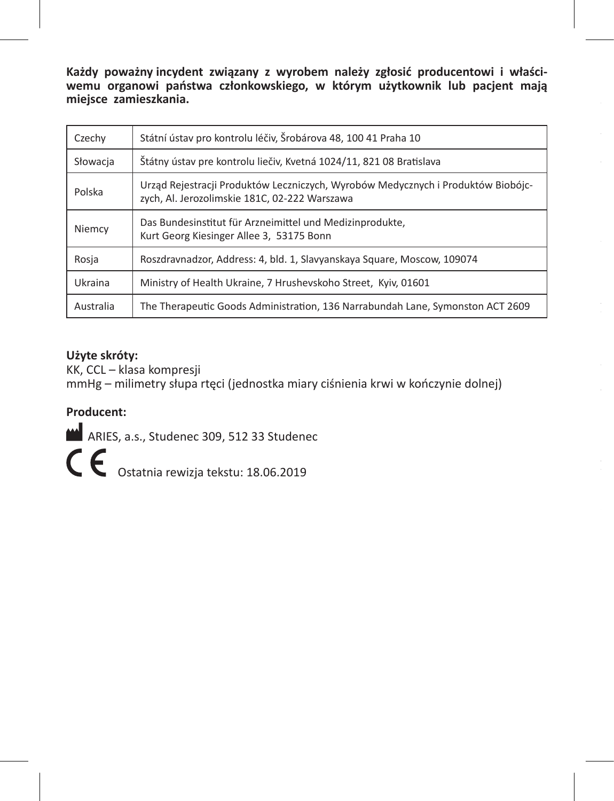**Każdy poważny incydent związany z wyrobem należy zgłosić producentowi i właściwemu organowi państwa członkowskiego, w którym użytkownik lub pacjent mają miejsce zamieszkania.**

| Czechy    | Státní ústav pro kontrolu léčiv, Šrobárova 48, 100 41 Praha 10                                                                    |
|-----------|-----------------------------------------------------------------------------------------------------------------------------------|
| Słowacja  | Štátny ústav pre kontrolu liečiy. Kvetná 1024/11. 821 08 Bratislava                                                               |
| Polska    | Urząd Rejestracji Produktów Leczniczych, Wyrobów Medycznych i Produktów Biobójc-<br>zvch. Al. Jerozolimskie 181C. 02-222 Warszawa |
| Niemcy    | Das Bundesinstitut für Arzneimittel und Medizinprodukte,<br>Kurt Georg Kiesinger Allee 3, 53175 Bonn                              |
| Rosia     | Roszdravnadzor, Address: 4, bld. 1, Slavyanskaya Square, Moscow, 109074                                                           |
| Ukraina   | Ministry of Health Ukraine, 7 Hrushevskoho Street, Kyiv, 01601                                                                    |
| Australia | The Therapeutic Goods Administration, 136 Narrabundah Lane, Symonston ACT 2609                                                    |

#### **Użyte skróty:**

KK, CCL – klasa kompresji mmHg – milimetry słupa rtęci (jednostka miary ciśnienia krwi w kończynie dolnej)

### **Producent:**

ARIES, a.s., Studenec 309, 512 33 Studenec

C C Ostatnia rewizja tekstu: 18.06.2019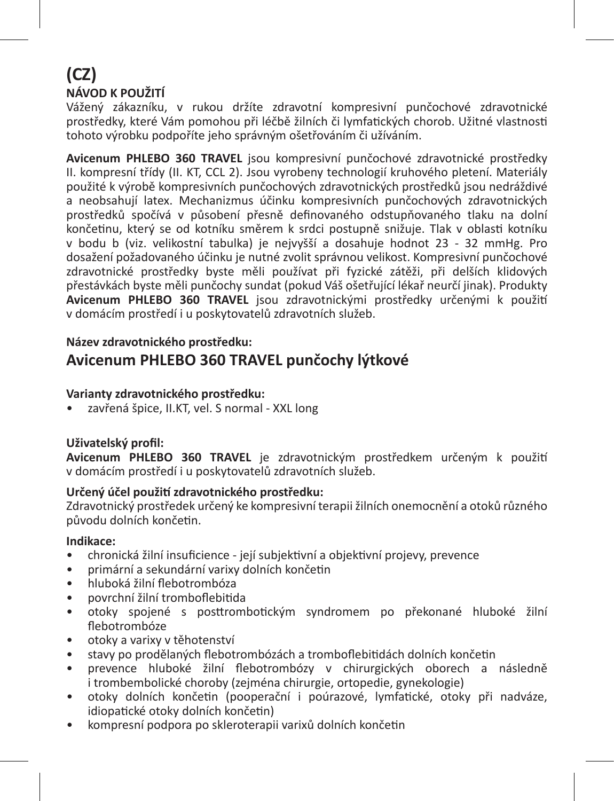# **(CZ) NÁVOD K POUŽITÍ**

Vážený zákazníku, v rukou držíte zdravotní kompresivní punčochové zdravotnické prostředky, které Vám pomohou při léčbě žilních či lymfatických chorob. Užitné vlastnosti tohoto výrobku podpoříte jeho správným ošetřováním či užíváním.

**Avicenum PHLEBO 360 TRAVEL** jsou kompresivní punčochové zdravotnické prostředky II. kompresní třídy (II. KT, CCL 2). Jsou vyrobeny technologií kruhového pletení. Materiály použité k výrobě kompresivních punčochových zdravotnických prostředků jsou nedráždivé a neobsahují latex. Mechanizmus účinku kompresivních punčochových zdravotnických prostředků spočívá v působení přesně definovaného odstupňovaného tlaku na dolní končetinu, který se od kotníku směrem k srdci postupně snižuje. Tlak v oblasti kotníku v bodu b (viz. velikostní tabulka) je nejvyšší a dosahuje hodnot 23 - 32 mmHg. Pro dosažení požadovaného účinku je nutné zvolit správnou velikost. Kompresivní punčochové zdravotnické prostředky byste měli používat při fyzické zátěži, při delších klidových přestávkách byste měli punčochy sundat (pokud Váš ošetřující lékař neurčí jinak). Produkty **Avicenum PHLEBO 360 TRAVEL** jsou zdravotnickými prostředky určenými k použití v domácím prostředí i u poskytovatelů zdravotních služeb.

#### **Název zdravotnického prostředku:**

# **Avicenum PHLEBO 360 TRAVEL punčochy lýtkové**

#### **Varianty zdravotnického prostředku:**

• zavřená špice, II.KT, vel. S normal - XXL long

#### **Uživatelský profil:**

**Avicenum PHLEBO 360 TRAVEL** je zdravotnickým prostředkem určeným k použití v domácím prostředí i u poskytovatelů zdravotních služeb.

#### **Určený účel použití zdravotnického prostředku:**

Zdravotnický prostředek určený ke kompresivní terapii žilních onemocnění a otoků různého původu dolních končetin.

#### **Indikace:**

- chronická žilní insuficience její subjektivní a objektivní projevy, prevence
- primární a sekundární varixy dolních končetin
- hluboká žilní flebotrombóza
- povrchní žilní tromboflebitida
- otoky spojené s posttrombotickým syndromem po překonané hluboké žilní flebotrombóze
- otoky a varixy v těhotenství
- stavy po prodělaných flebotrombózách a tromboflebitidách dolních končetin
- prevence hluboké žilní flebotrombózy v chirurgických oborech a následně i trombembolické choroby (zejména chirurgie, ortopedie, gynekologie)
- otoky dolních končetin (pooperační i poúrazové, lymfatické, otoky při nadváze, idiopatické otoky dolních končetin)
- kompresní podpora po skleroterapii varixů dolních končetin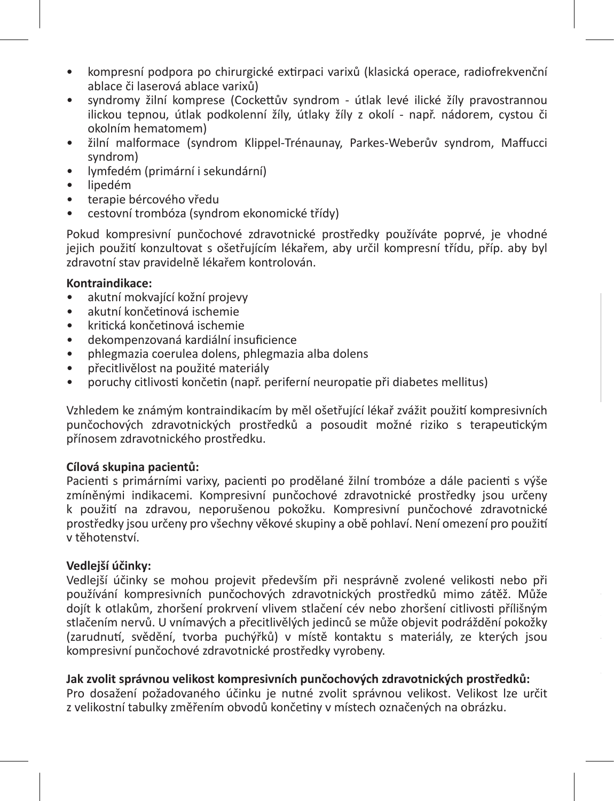- kompresní podpora po chirurgické extirpaci varixů (klasická operace, radiofrekvenční ablace či laserová ablace varixů)
- syndromy žilní komprese (Cockettův syndrom útlak levé ilické žíly pravostrannou ilickou tepnou, útlak podkolenní žíly, útlaky žíly z okolí - např. nádorem, cystou či okolním hematomem)
- žilní malformace (syndrom Klippel-Trénaunay, Parkes-Weberův syndrom, Maffucci syndrom)
- lymfedém (primární i sekundární)
- lipedém
- terapie bércového vředu
- cestovní trombóza (syndrom ekonomické třídy)

Pokud kompresivní punčochové zdravotnické prostředky používáte poprvé, je vhodné jejich použití konzultovat s ošetřujícím lékařem, aby určil kompresní třídu, příp. aby byl zdravotní stav pravidelně lékařem kontrolován.

#### **Kontraindikace:**

- akutní mokvající kožní projevy
- akutní končetinová ischemie
- kritická končetinová ischemie
- dekompenzovaná kardiální insuficience
- phlegmazia coerulea dolens, phlegmazia alba dolens
- přecitlivělost na použité materiály
- poruchy citlivosti končetin (např. periferní neuropatie při diabetes mellitus)

Vzhledem ke známým kontraindikacím by měl ošetřující lékař zvážit použití kompresivních punčochových zdravotnických prostředků a posoudit možné riziko s terapeutickým přínosem zdravotnického prostředku.

#### **Cílová skupina pacientů:**

Pacienti s primárními varixy, pacienti po prodělané žilní trombóze a dále pacienti s výše zmíněnými indikacemi. Kompresivní punčochové zdravotnické prostředky jsou určeny k použití na zdravou, neporušenou pokožku. Kompresivní punčochové zdravotnické prostředky jsou určeny pro všechny věkové skupiny a obě pohlaví. Není omezení pro použití v těhotenství.

#### **Vedlejší účinky:**

Vedlejší účinky se mohou projevit především při nesprávně zvolené velikosti nebo při používání kompresivních punčochových zdravotnických prostředků mimo zátěž. Může dojít k otlakům, zhoršení prokrvení vlivem stlačení cév nebo zhoršení citlivosti přílišným stlačením nervů. U vnímavých a přecitlivělých jedinců se může objevit podráždění pokožky (zarudnutí, svědění, tvorba puchýřků) v místě kontaktu s materiály, ze kterých jsou kompresivní punčochové zdravotnické prostředky vyrobeny.

#### **Jak zvolit správnou velikost kompresivních punčochových zdravotnických prostředků:**

Pro dosažení požadovaného účinku je nutné zvolit správnou velikost. Velikost lze určit z velikostní tabulky změřením obvodů končetiny v místech označených na obrázku.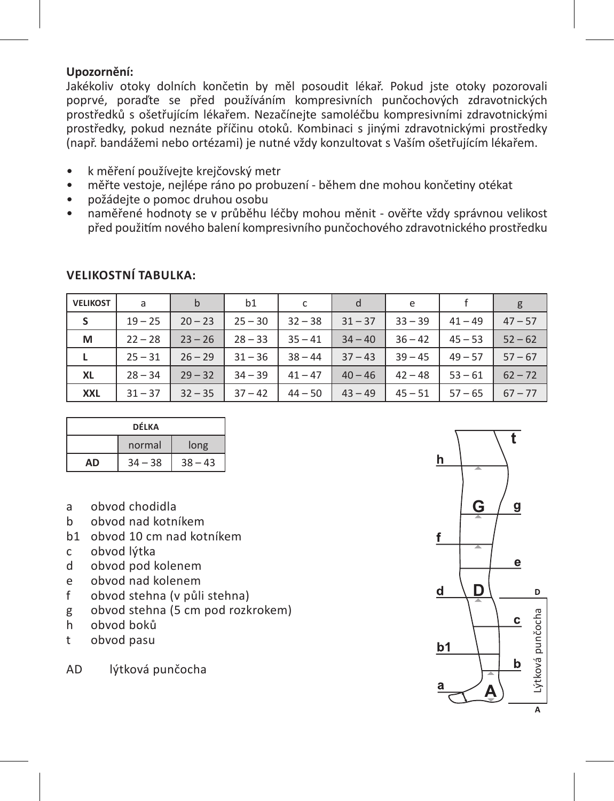#### **Upozornění:**

Jakékoliv otoky dolních končetin by měl posoudit lékař. Pokud jste otoky pozorovali poprvé, poraďte se před používáním kompresivních punčochových zdravotnických prostředků s ošetřujícím lékařem. Nezačínejte samoléčbu kompresivními zdravotnickými prostředky, pokud neznáte příčinu otoků. Kombinaci s jinými zdravotnickými prostředky (např. bandážemi nebo ortézami) je nutné vždy konzultovat s Vaším ošetřujícím lékařem.

- k měření používejte krejčovský metr
- měřte vestoje, nejlépe ráno po probuzení během dne mohou končetiny otékat
- požádejte o pomoc druhou osobu
- naměřené hodnoty se v průběhu léčby mohou měnit ověřte vždy správnou velikost před použitím nového balení kompresivního punčochového zdravotnického prostředku

| <b>VELIKOST</b> | a         | b         | b1        | c         | d         | e         |           | g         |
|-----------------|-----------|-----------|-----------|-----------|-----------|-----------|-----------|-----------|
| S               | $19 - 25$ | $20 - 23$ | $25 - 30$ | $32 - 38$ | $31 - 37$ | $33 - 39$ | $41 - 49$ | $47 - 57$ |
| м               | $22 - 28$ | $23 - 26$ | $28 - 33$ | $35 - 41$ | $34 - 40$ | $36 - 42$ | $45 - 53$ | $52 - 62$ |
| L               | $25 - 31$ | $26 - 29$ | $31 - 36$ | $38 - 44$ | $37 - 43$ | $39 - 45$ | $49 - 57$ | $57 - 67$ |
| XL              | $28 - 34$ | $29 - 32$ | $34 - 39$ | $41 - 47$ | $40 - 46$ | $42 - 48$ | $53 - 61$ | $62 - 72$ |
| <b>XXL</b>      | $31 - 37$ | $32 - 35$ | $37 - 42$ | $44 - 50$ | $43 - 49$ | $45 - 51$ | $57 - 65$ | $67 - 77$ |

#### **VELIKOSTNÍ TABULKA:**

| DÉLKA |        |           |  |
|-------|--------|-----------|--|
|       | normal | long      |  |
| ΔŊ    | $-38$  | $38 - 43$ |  |

- a obvod chodidla
- b obvod nad kotníkem
- b1 obvod 10 cm nad kotníkem
- c obvod lýtka<br>d obvod pod l
- d obvod pod kolenem
- e obvod nad kolenem
- f obvod stehna (v půli stehna)
- g obvod stehna (5 cm pod rozkrokem)
- h obvod boků
- t obvod pasu

AD lýtková punčocha

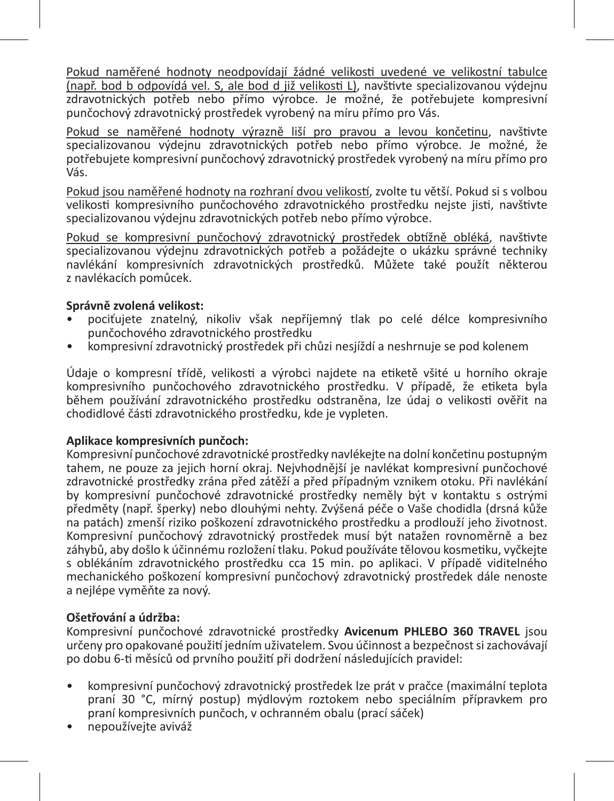Pokud naměřené hodnoty neodpovídají žádné velikosti uvedené ve velikostní tabulce (např. bod b odpovídá vel. S, ale bod d již velikosti L), navštivte specializovanou výdejnu zdravotnických potřeb nebo přímo výrobce. Je možné, že potřebujete kompresivní punčochový zdravotnický prostředek vyrobený na míru přímo pro Vás.

Pokud se naměřené hodnoty výrazně liší pro pravou a levou končetinu, navštivte specializovanou výdejnu zdravotnických potřeb nebo přímo výrobce. Je možné, že potřebujete kompresivní punčochový zdravotnický prostředek vyrobený na míru přímo pro .<br>Vás

Pokud jsou naměřené hodnoty na rozhraní dvou velikostí, zvolte tu větší. Pokud si s volbou velikosti kompresivního punčochového zdravotnického prostředku nejste jisti, navštivte specializovanou výdejnu zdravotnických potřeb nebo přímo výrobce.

Pokud se kompresivní punčochový zdravotnický prostředek obtížně obléká, navštivte specializovanou výdejnu zdravotnických potřeb a požádejte o ukázku správné techniky navlékání kompresivních zdravotnických prostředků. Můžete také použít některou z navlékacích pomůcek.

#### **Správně zvolená velikost:**

- pociťujete znatelný, nikoliv však nepříjemný tlak po celé délce kompresivního punčochového zdravotnického prostředku
- kompresivní zdravotnický prostředek při chůzi nesjíždí a neshrnuje se pod kolenem

Údaje o kompresní třídě, velikosti a výrobci najdete na etiketě všité u horního okraje kompresivního punčochového zdravotnického prostředku. V případě, že etiketa byla během používání zdravotnického prostředku odstraněna, lze údaj o velikosti ověřit na chodidlové části zdravotnického prostředku, kde je vypleten.

#### **Aplikace kompresivních punčoch:**

Kompresivní punčochové zdravotnické prostředky navlékejte na dolní končetinu postupným tahem, ne pouze za jejich horní okraj. Nejvhodnější je navlékat kompresivní punčochové zdravotnické prostředky zrána před zátěží a před případným vznikem otoku. Při navlékání by kompresivní punčochové zdravotnické prostředky neměly být v kontaktu s ostrými předměty (např. šperky) nebo dlouhými nehty. Zvýšená péče o Vaše chodidla (drsná kůže na patách) zmenší riziko poškození zdravotnického prostředku a prodlouží jeho životnost. Kompresivní punčochový zdravotnický prostředek musí být natažen rovnoměrně a bez záhybů, aby došlo k účinnému rozložení tlaku. Pokud používáte tělovou kosmetiku, vyčkejte s oblékáním zdravotnického prostředku cca 15 min. po aplikaci. V případě viditelného mechanického poškození kompresivní punčochový zdravotnický prostředek dále nenoste a nejlépe vyměňte za nový.

#### **Ošetřování a údržba:**

Kompresivní punčochové zdravotnické prostředky **Avicenum PHLEBO 360 TRAVEL** jsou určeny pro opakované použití jedním uživatelem. Svou účinnost a bezpečnost si zachovávají po dobu 6-ti měsíců od prvního použití při dodržení následujících pravidel:

- kompresivní punčochový zdravotnický prostředek lze prát v pračce (maximální teplota praní 30 °C, mírný postup) mýdlovým roztokem nebo speciálním přípravkem pro praní kompresivních punčoch, v ochranném obalu (prací sáček)
- nepoužívejte aviváž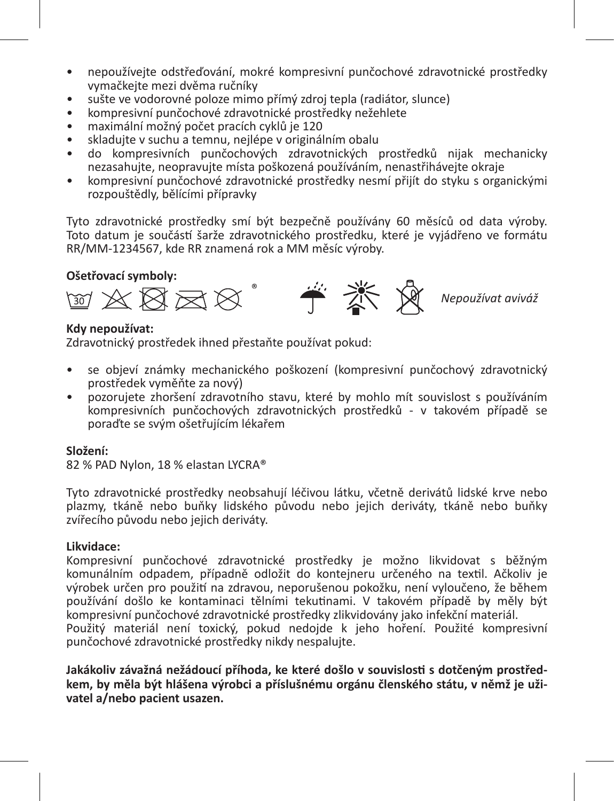- nepoužívejte odstřeďování, mokré kompresivní punčochové zdravotnické prostředky vymačkejte mezi dvěma ručníky
- sušte ve vodorovné poloze mimo přímý zdroj tepla (radiátor, slunce)
- kompresivní punčochové zdravotnické prostředky nežehlete
- maximální možný počet pracích cyklů je 120
- skladujte v suchu a temnu, nejlépe v originálním obalu
- do kompresivních punčochových zdravotnických prostředků nijak mechanicky nezasahujte, neopravujte místa poškozená používáním, nenastřihávejte okraje
- kompresivní punčochové zdravotnické prostředky nesmí přijít do styku s organickými rozpouštědly, bělícími přípravky

Tyto zdravotnické prostředky smí být bezpečně používány 60 měsíců od data výroby. Toto datum je součástí šarže zdravotnického prostředku, které je vyjádřeno ve formátu RR/MM-1234567, kde RR znamená rok a MM měsíc výroby.

#### **Ošetřovací symboly:**



#### **Kdy nepoužívat:**

Zdravotnický prostředek ihned přestaňte používat pokud:

- se objeví známky mechanického poškození (kompresivní punčochový zdravotnický prostředek vyměňte za nový)
- pozorujete zhoršení zdravotního stavu, které by mohlo mít souvislost s používáním kompresivních punčochových zdravotnických prostředků - v takovém případě se poraďte se svým ošetřujícím lékařem

#### **Složení:**

82 % PAD Nylon, 18 % elastan LYCRA®

Tyto zdravotnické prostředky neobsahují léčivou látku, včetně derivátů lidské krve nebo plazmy, tkáně nebo buňky lidského původu nebo jejich deriváty, tkáně nebo buňky zvířecího původu nebo jejich deriváty.

#### **Likvidace:**

Kompresivní punčochové zdravotnické prostředky je možno likvidovat s běžným komunálním odpadem, případně odložit do kontejneru určeného na textil. Ačkoliv je výrobek určen pro použití na zdravou, neporušenou pokožku, není vyloučeno, že během používání došlo ke kontaminaci tělními tekutinami. V takovém případě by měly být kompresivní punčochové zdravotnické prostředky zlikvidovány jako infekční materiál. Použitý materiál není toxický, pokud nedojde k jeho hoření. Použité kompresivní punčochové zdravotnické prostředky nikdy nespalujte.

**Jakákoliv závažná nežádoucí příhoda, ke které došlo v souvislosti s dotčeným prostředkem, by měla být hlášena výrobci a příslušnému orgánu členského státu, v němž je uživatel a/nebo pacient usazen.**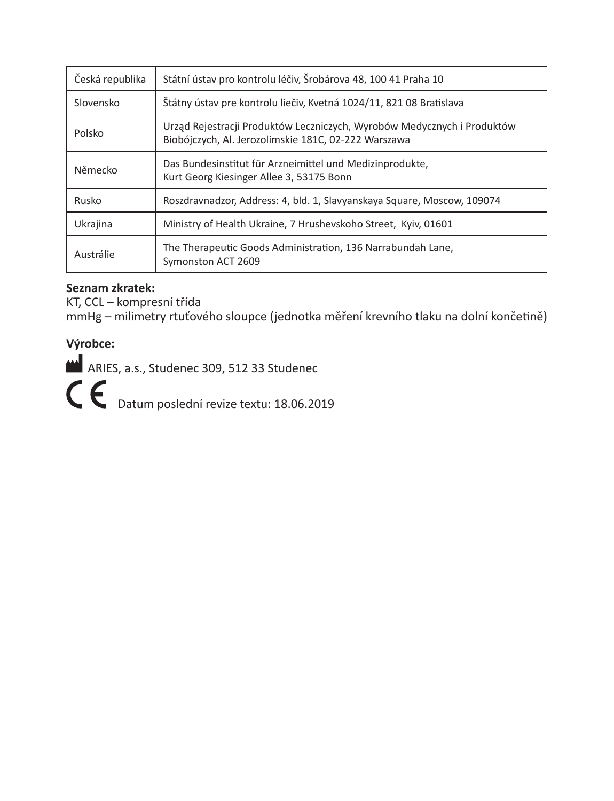| Česká republika | Státní ústav pro kontrolu léčiv, Šrobárova 48, 100 41 Praha 10                                                                  |
|-----------------|---------------------------------------------------------------------------------------------------------------------------------|
| Slovensko       | Štátny ústav pre kontrolu liečiy. Kvetná 1024/11. 821 08 Bratislava                                                             |
| Polsko          | Urząd Rejestracji Produktów Leczniczych, Wyrobów Medycznych i Produktów<br>Biobójczych, Al. Jerozolimskie 181C, 02-222 Warszawa |
| Německo         | Das Bundesinstitut für Arzneimittel und Medizinprodukte,<br>Kurt Georg Kiesinger Allee 3, 53175 Bonn                            |
| Rusko           | Roszdravnadzor, Address: 4, bld. 1, Slavyanskaya Square, Moscow, 109074                                                         |
| Ukrajina        | Ministry of Health Ukraine, 7 Hrushevskoho Street, Kyiv, 01601                                                                  |
| Austrálie       | The Therapeutic Goods Administration, 136 Narrabundah Lane,<br>Symonston ACT 2609                                               |

#### **Seznam zkratek:**

KT, CCL – kompresní třída

mmHg – milimetry rtuťového sloupce (jednotka měření krevního tlaku na dolní končetině)

# **Výrobce:**

ARIES, a.s., Studenec 309, 512 33 Studenec

C  $\epsilon$  Datum poslední revize textu: 18.06.2019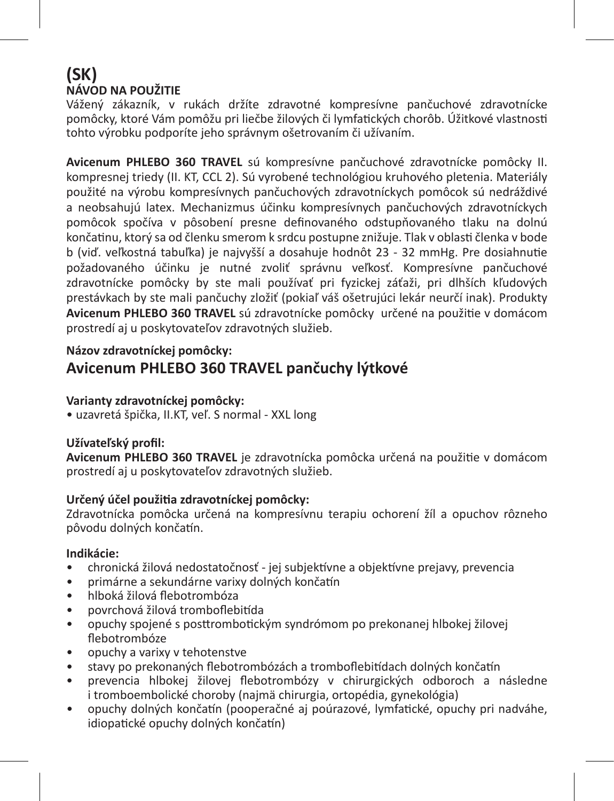# **(SK) NÁVOD NA POUŽITIE**

Vážený zákazník, v rukách držíte zdravotné kompresívne pančuchové zdravotnícke pomôcky, ktoré Vám pomôžu pri liečbe žilových či lymfatických chorôb. Úžitkové vlastnosti tohto výrobku podporíte jeho správnym ošetrovaním či užívaním.

**Avicenum PHLEBO 360 TRAVEL** sú kompresívne pančuchové zdravotnícke pomôcky II. kompresnej triedy (II. KT, CCL 2). Sú vyrobené technológiou kruhového pletenia. Materiály použité na výrobu kompresívnych pančuchových zdravotníckych pomôcok sú nedráždivé a neobsahujú latex. Mechanizmus účinku kompresívnych pančuchových zdravotníckych pomôcok spočíva v pôsobení presne definovaného odstupňovaného tlaku na dolnú končatinu, ktorý sa od členku smerom k srdcu postupne znižuje. Tlak v oblasti členka v bode b (viď. veľkostná tabuľka) je najvyšší a dosahuje hodnôt 23 - 32 mmHg. Pre dosiahnutie požadovaného účinku je nutné zvoliť správnu veľkosť. Kompresívne pančuchové zdravotnícke pomôcky by ste mali používať pri fyzickej záťaži, pri dlhších kľudových prestávkach by ste mali pančuchy zložiť (pokiaľ váš ošetrujúci lekár neurčí inak). Produkty **Avicenum PHLEBO 360 TRAVEL** sú zdravotnícke pomôcky určené na použitie v domácom prostredí aj u poskytovateľov zdravotných služieb.

#### **Názov zdravotníckej pomôcky:**

# **Avicenum PHLEBO 360 TRAVEL pančuchy lýtkové**

#### **Varianty zdravotníckej pomôcky:**

• uzavretá špička, II.KT, veľ. S normal - XXL long

#### **Užívateľský profil:**

**Avicenum PHLEBO 360 TRAVEL** je zdravotnícka pomôcka určená na použitie v domácom prostredí aj u poskytovateľov zdravotných služieb.

#### **Určený účel použitia zdravotníckej pomôcky:**

Zdravotnícka pomôcka určená na kompresívnu terapiu ochorení žíl a opuchov rôzneho pôvodu dolných končatín.

#### **Indikácie:**

- chronická žilová nedostatočnosť jej subjektívne a objektívne prejavy, prevencia
- primárne a sekundárne varixy dolných končatín
- hlboká žilová flebotrombóza
- povrchová žilová tromboflebitída
- opuchy spojené s posttrombotickým syndrómom po prekonanej hlbokej žilovej flebotrombóze
- opuchy a varixy v tehotenstve
- stavy po prekonaných flebotrombózách a tromboflebitídach dolných končatín
- prevencia hlbokej žilovej flebotrombózy v chirurgických odboroch a následne i tromboembolické choroby (najmä chirurgia, ortopédia, gynekológia)
- opuchy dolných končatín (pooperačné aj poúrazové, lymfatické, opuchy pri nadváhe, idiopatické opuchy dolných končatín)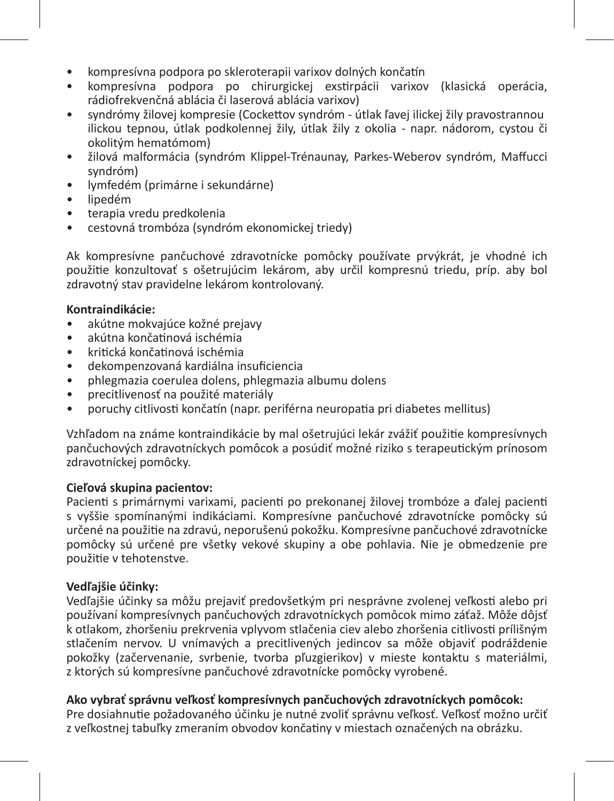- kompresívna podpora po skleroterapii varixov dolných končatín
- kompresívna podpora po chirurgickej exstirpácii varixov (klasická operácia, rádiofrekvenčná ablácia či laserová ablácia varixov)
- syndrómy žilovej kompresie (Cockettov syndróm útlak ľavej ilickej žily pravostrannou ilickou tepnou, útlak podkolennej žily, útlak žily z okolia - napr. nádorom, cystou či okolitým hematómom)
- žilová malformácia (syndróm Klippel-Trénaunay, Parkes-Weberov syndróm, Maffucci syndróm)
- lymfedém (primárne i sekundárne)
- lipedém
- terapia vredu predkolenia
- cestovná trombóza (syndróm ekonomickej triedy)

Ak kompresívne pančuchové zdravotnícke pomôcky používate prvýkrát, je vhodné ich použitie konzultovať s ošetrujúcim lekárom, aby určil kompresnú triedu, príp. aby bol zdravotný stav pravidelne lekárom kontrolovaný.

#### **Kontraindikácie:**

- akútne mokvajúce kožné prejavy
- akútna končatinová ischémia
- kritická končatinová ischémia
- dekompenzovaná kardiálna insuficiencia
- phlegmazia coerulea dolens, phlegmazia albumu dolens
- precitlivenosť na použité materiály
- poruchy citlivosti končatín (napr. periférna neuropatia pri diabetes mellitus)

Vzhľadom na známe kontraindikácie by mal ošetrujúci lekár zvážiť použitie kompresívnych pančuchových zdravotníckych pomôcok a posúdiť možné riziko s terapeutickým prínosom zdravotníckej pomôcky.

#### **Cieľová skupina pacientov:**

Pacienti s primárnymi varixami, pacienti po prekonanej žilovej trombóze a ďalej pacienti s vyššie spomínanými indikáciami. Kompresívne pančuchové zdravotnícke pomôcky sú určené na použitie na zdravú, neporušenú pokožku. Kompresívne pančuchové zdravotnícke pomôcky sú určené pre všetky vekové skupiny a obe pohlavia. Nie je obmedzenie pre použitie v tehotenstve.

#### **Vedľajšie účinky:**

Vedľajšie účinky sa môžu prejaviť predovšetkým pri nesprávne zvolenej veľkosti alebo pri používaní kompresívnych pančuchových zdravotníckych pomôcok mimo záťaž. Môže dôjsť k otlakom, zhoršeniu prekrvenia vplyvom stlačenia ciev alebo zhoršenia citlivosti prílišným stlačením nervov. U vnímavých a precitlivených jedincov sa môže objaviť podráždenie pokožky (začervenanie, svrbenie, tvorba pľuzgierikov) v mieste kontaktu s materiálmi, z ktorých sú kompresívne pančuchové zdravotnícke pomôcky vyrobené.

#### **Ako vybrať správnu veľkosť kompresívnych pančuchových zdravotníckych pomôcok:**

Pre dosiahnutie požadovaného účinku je nutné zvoliť správnu veľkosť. Veľkosť možno určiť z veľkostnej tabuľky zmeraním obvodov končatiny v miestach označených na obrázku.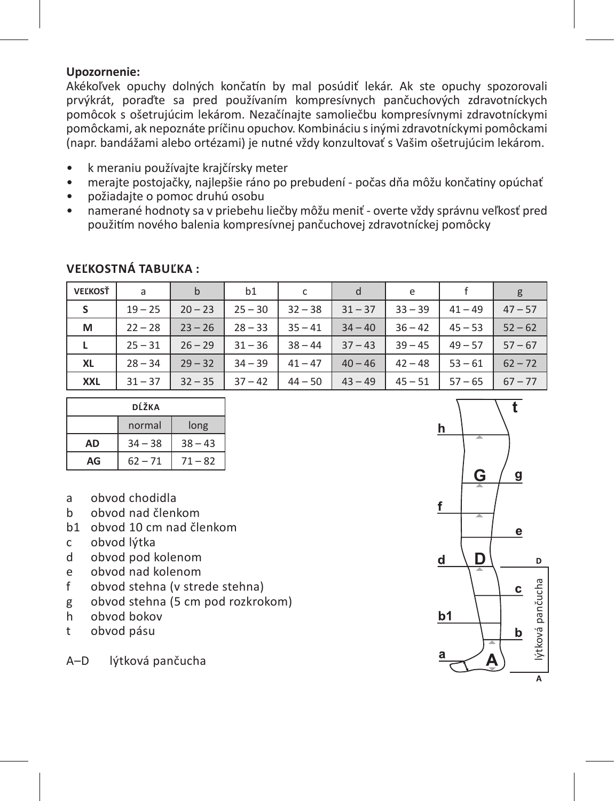#### **Upozornenie:**

Akékoľvek opuchy dolných končatín by mal posúdiť lekár. Ak ste opuchy spozorovali prvýkrát, poraďte sa pred používaním kompresívnych pančuchových zdravotníckych pomôcok s ošetrujúcim lekárom. Nezačínajte samoliečbu kompresívnymi zdravotníckymi pomôckami, ak nepoznáte príčinu opuchov. Kombináciu s inými zdravotníckymi pomôckami (napr. bandážami alebo ortézami) je nutné vždy konzultovať s Vašim ošetrujúcim lekárom.

- k meraniu používajte krajčírsky meter
- merajte postojačky, najlepšie ráno po prebudení počas dňa môžu končatiny opúchať
- požiadajte o pomoc druhú osobu
- namerané hodnoty sa v priebehu liečby môžu meniť overte vždy správnu veľkosť pred použitím nového balenia kompresívnej pančuchovej zdravotníckej pomôcky

| VEĽKOSŤ    | a         | b         | b1        | c         | d         | e         |           | g         |
|------------|-----------|-----------|-----------|-----------|-----------|-----------|-----------|-----------|
| s          | $19 - 25$ | $20 - 23$ | $25 - 30$ | $32 - 38$ | $31 - 37$ | $33 - 39$ | $41 - 49$ | $47 - 57$ |
| м          | $22 - 28$ | $23 - 26$ | $28 - 33$ | $35 - 41$ | $34 - 40$ | $36 - 42$ | $45 - 53$ | $52 - 62$ |
| L          | $25 - 31$ | $26 - 29$ | $31 - 36$ | $38 - 44$ | $37 - 43$ | $39 - 45$ | $49 - 57$ | $57 - 67$ |
| XL         | $28 - 34$ | $29 - 32$ | $34 - 39$ | $41 - 47$ | $40 - 46$ | $42 - 48$ | $53 - 61$ | $62 - 72$ |
| <b>XXL</b> | $31 - 37$ | $32 - 35$ | $37 - 42$ | $44 - 50$ | $43 - 49$ | $45 - 51$ | $57 - 65$ | $67 - 77$ |

#### **Veľkostná tabuľka :**

| DĹŽKA |           |           |  |  |
|-------|-----------|-----------|--|--|
|       | normal    | long      |  |  |
| AD    | $34 - 38$ | $38 - 43$ |  |  |
| AG    | $62 - 71$ | $71 - 82$ |  |  |

- a obvod chodidla
- b obvod nad členkom
- b1 obvod 10 cm nad členkom
- c obvod lýtka<br>d obvod pod l
- d obvod pod kolenom
- e obvod nad kolenom<br>f obvod stebna (v stre
- obvod stehna (v strede stehna)
- g obvod stehna (5 cm pod rozkrokom)<br>h obvod bokov
- h obvod bokov
- t obvod pásu

A–D lýtková pančucha

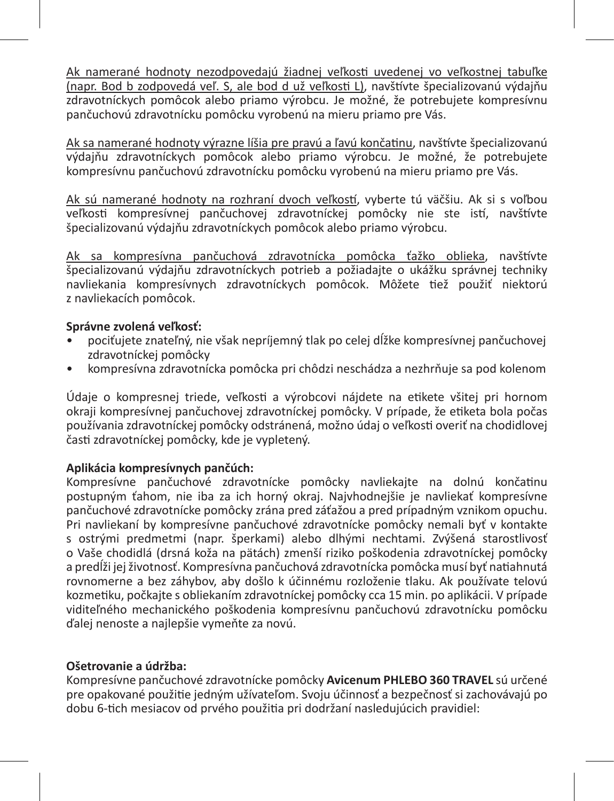Ak namerané hodnoty nezodpovedajú žiadnej veľkosti uvedenej vo veľkostnej tabuľke (napr. Bod b zodpovedá veľ. S, ale bod d už veľkosti L), navštívte špecializovanú výdajňu zdravotníckych pomôcok alebo priamo výrobcu. Je možné, že potrebujete kompresívnu pančuchovú zdravotnícku pomôcku vyrobenú na mieru priamo pre Vás.

Ak sa namerané hodnoty výrazne líšia pre pravú a ľavú končatinu, navštívte špecializovanú výdajňu zdravotníckych pomôcok alebo priamo výrobcu. Je možné, že potrebujete kompresívnu pančuchovú zdravotnícku pomôcku vyrobenú na mieru priamo pre Vás.

Ak sú namerané hodnoty na rozhraní dvoch veľkostí, vyberte tú väčšiu. Ak si s voľbou veľkosti kompresívnej pančuchovej zdravotníckej pomôcky nie ste istí, navštívte špecializovanú výdajňu zdravotníckych pomôcok alebo priamo výrobcu.

Ak sa kompresívna pančuchová zdravotnícka pomôcka ťažko oblieka, navštívte špecializovanú výdajňu zdravotníckych potrieb a požiadajte o ukážku správnej techniky navliekania kompresívnych zdravotníckych pomôcok. Môžete tiež použiť niektorú z navliekacích pomôcok.

#### **Správne zvolená veľkosť:**

- pociťujete znateľný, nie však nepríjemný tlak po celej dĺžke kompresívnej pančuchovej zdravotníckej pomôcky
- kompresívna zdravotnícka pomôcka pri chôdzi neschádza a nezhrňuje sa pod kolenom

Údaje o kompresnej triede, veľkosti a výrobcovi nájdete na etikete všitej pri hornom okraji kompresívnej pančuchovej zdravotníckej pomôcky. V prípade, že etiketa bola počas používania zdravotníckej pomôcky odstránená, možno údaj o veľkosti overiť na chodidlovej časti zdravotníckej pomôcky, kde je vypletený.

#### **Aplikácia kompresívnych pančúch:**

Kompresívne pančuchové zdravotnícke pomôcky navliekajte na dolnú končatinu postupným ťahom, nie iba za ich horný okraj. Najvhodnejšie je navliekať kompresívne pančuchové zdravotnícke pomôcky zrána pred záťažou a pred prípadným vznikom opuchu. Pri navliekaní by kompresívne pančuchové zdravotnícke pomôcky nemali byť v kontakte s ostrými predmetmi (napr. šperkami) alebo dlhými nechtami. Zvýšená starostlivosť o Vaše chodidlá (drsná koža na pätách) zmenší riziko poškodenia zdravotníckej pomôcky a predĺži jej životnosť. Kompresívna pančuchová zdravotnícka pomôcka musí byť natiahnutá rovnomerne a bez záhybov, aby došlo k účinnému rozloženie tlaku. Ak používate telovú kozmetiku, počkajte s obliekaním zdravotníckej pomôcky cca 15 min. po aplikácii. V prípade viditeľného mechanického poškodenia kompresívnu pančuchovú zdravotnícku pomôcku ďalej nenoste a najlepšie vymeňte za novú.

#### **Ošetrovanie a údržba:**

Kompresívne pančuchové zdravotnícke pomôcky **Avicenum PHLEBO 360 TRAVEL** sú určené pre opakované použitie jedným užívateľom. Svoju účinnosť a bezpečnosť si zachovávajú po dobu 6-tich mesiacov od prvého použitia pri dodržaní nasledujúcich pravidiel: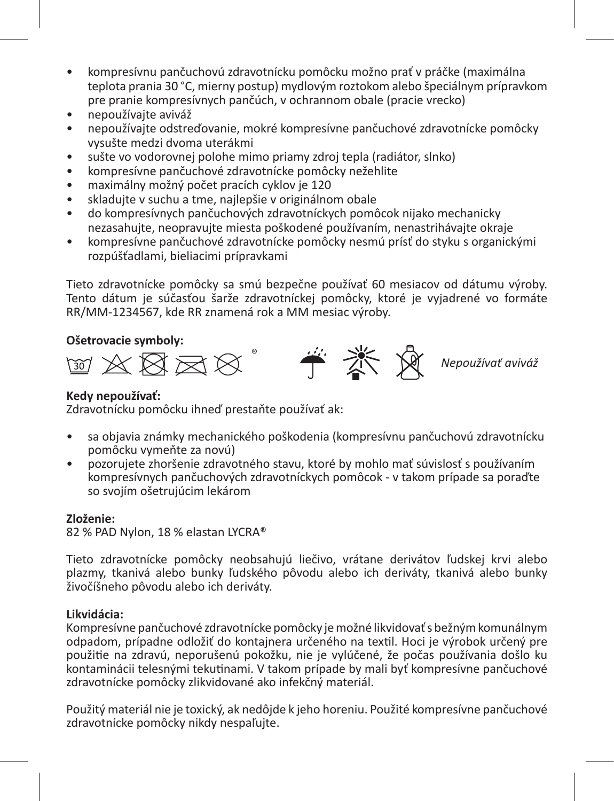- kompresívnu pančuchovú zdravotnícku pomôcku možno prať v práčke (maximálna teplota prania 30 °C, mierny postup) mydlovým roztokom alebo špeciálnym prípravkom pre pranie kompresívnych pančúch, v ochrannom obale (pracie vrecko)
- nepoužívajte aviváž
- nepoužívajte odstreďovanie, mokré kompresívne pančuchové zdravotnícke pomôcky vysušte medzi dvoma uterákmi
- sušte vo vodorovnej polohe mimo priamy zdroj tepla (radiátor, slnko)
- kompresívne pančuchové zdravotnícke pomôcky nežehlite
- maximálny možný počet pracích cyklov je 120
- skladujte v suchu a tme, najlepšie v originálnom obale
- do kompresívnych pančuchových zdravotníckych pomôcok nijako mechanicky nezasahujte, neopravujte miesta poškodené používaním, nenastrihávajte okraje
- kompresívne pančuchové zdravotnícke pomôcky nesmú prísť do styku s organickými rozpúšťadlami, bieliacimi prípravkami

Tieto zdravotnícke pomôcky sa smú bezpečne používať 60 mesiacov od dátumu výroby. Tento dátum je súčasťou šarže zdravotníckej pomôcky, ktoré je vyjadrené vo formáte RR/MM-1234567, kde RR znamená rok a MM mesiac výroby.

#### **Ošetrovacie symboly:**



#### **Kedy nepoužívať:**

Zdravotnícku pomôcku ihneď prestaňte používať ak:

- sa objavia známky mechanického poškodenia (kompresívnu pančuchovú zdravotnícku pomôcku vymeňte za novú)
- pozorujete zhoršenie zdravotného stavu, ktoré by mohlo mať súvislosť s používaním kompresívnych pančuchových zdravotníckych pomôcok - v takom prípade sa poraďte so svojím ošetrujúcim lekárom

#### **Zloženie:**

82 % PAD Nylon, 18 % elastan LYCRA®

Tieto zdravotnícke pomôcky neobsahujú liečivo, vrátane derivátov ľudskej krvi alebo plazmy, tkanivá alebo bunky ľudského pôvodu alebo ich deriváty, tkanivá alebo bunky živočíšneho pôvodu alebo ich deriváty.

#### **Likvidácia:**

Kompresívne pančuchové zdravotnícke pomôcky je možné likvidovať s bežným komunálnym odpadom, prípadne odložiť do kontajnera určeného na textil. Hoci je výrobok určený pre použitie na zdravú, neporušenú pokožku, nie je vylúčené, že počas používania došlo ku kontaminácii telesnými tekutinami. V takom prípade by mali byť kompresívne pančuchové zdravotnícke pomôcky zlikvidované ako infekčný materiál.

Použitý materiál nie je toxický, ak nedôjde k jeho horeniu. Použité kompresívne pančuchové zdravotnícke pomôcky nikdy nespaľujte.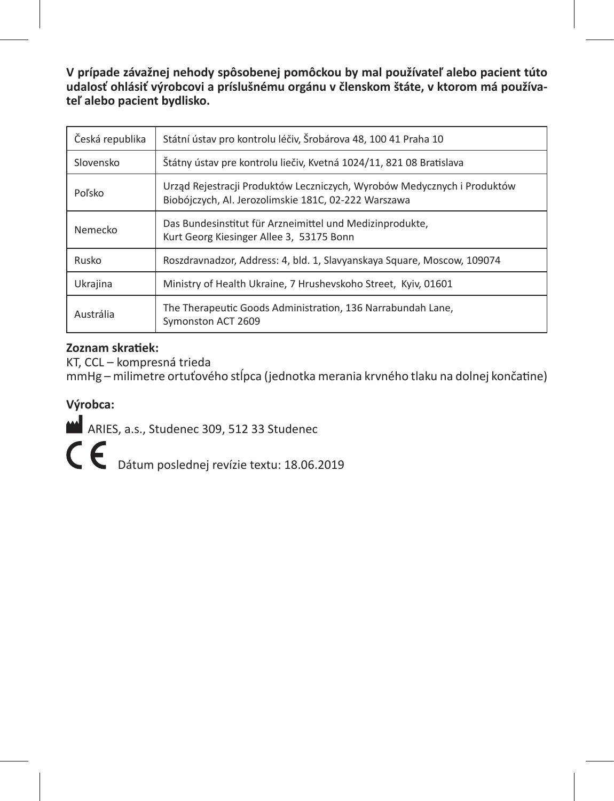**V prípade závažnej nehody spôsobenej pomôckou by mal používateľ alebo pacient túto udalosť ohlásiť výrobcovi a príslušnému orgánu v členskom štáte, v ktorom má používateľ alebo pacient bydlisko.**

| Česká republika | Státní ústav pro kontrolu léčiv, Šrobárova 48, 100 41 Praha 10                                                                  |
|-----------------|---------------------------------------------------------------------------------------------------------------------------------|
| Slovensko       | Štátny ústav pre kontrolu liečiv, Kvetná 1024/11, 821 08 Bratislava                                                             |
| Poľsko          | Urząd Rejestracji Produktów Leczniczych, Wyrobów Medycznych i Produktów<br>Biobójczych, Al. Jerozolimskie 181C, 02-222 Warszawa |
| Nemecko         | Das Bundesinstitut für Arzneimittel und Medizinprodukte,<br>Kurt Georg Kiesinger Allee 3, 53175 Bonn                            |
| Rusko           | Roszdravnadzor, Address: 4, bld. 1, Slavyanskaya Square, Moscow, 109074                                                         |
| Ukrajina        | Ministry of Health Ukraine, 7 Hrushevskoho Street, Kyiv, 01601                                                                  |
| Austrália       | The Therapeutic Goods Administration, 136 Narrabundah Lane,<br>Symonston ACT 2609                                               |

#### **Zoznam skratiek:**

KT, CCL – kompresná trieda mmHg – milimetre ortuťového stĺpca (jednotka merania krvného tlaku na dolnej končatine)

#### **Výrobca:**

ARIES, a.s., Studenec 309, 512 33 Studenec

Dátum poslednej revízie textu: 18.06.2019